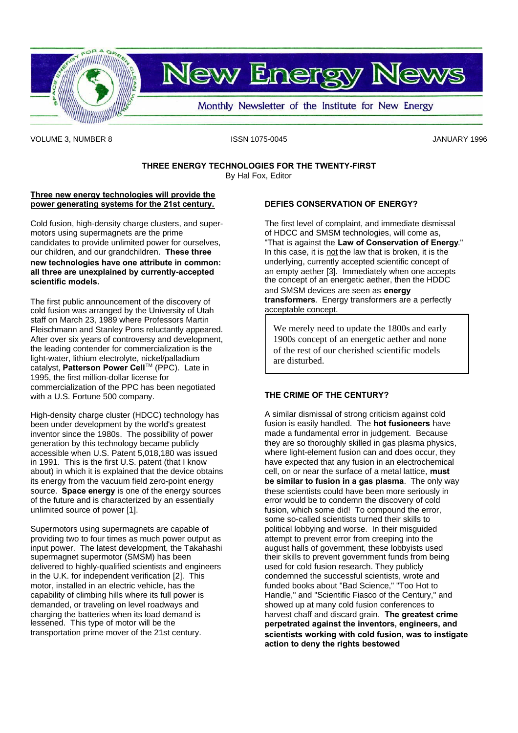



Monthly Newsletter of the Institute for New Energy

VOLUME 3, NUMBER 8 **ISSN 1075-0045** ISSN 1075-0045

#### **THREE ENERGY TECHNOLOGIES FOR THE TWENTY-FIRST** By Hal Fox, Editor

#### **Three new energy technologies will provide the power generating systems for the 21st century.**

Cold fusion, high-density charge clusters, and supermotors using supermagnets are the prime candidates to provide unlimited power for ourselves, our children, and our grandchildren. **These three new technologies have one attribute in common: all three are unexplained by currently-accepted scientific models.**

The first public announcement of the discovery of cold fusion was arranged by the University of Utah staff on March 23, 1989 where Professors Martin Fleischmann and Stanley Pons reluctantly appeared. After over six years of controversy and development, the leading contender for commercialization is the light-water, lithium electrolyte, nickel/palladium catalyst, **Patterson Power Cell**TM (PPC). Late in 1995, the first million-dollar license for commercialization of the PPC has been negotiated with a U.S. Fortune 500 company.

High-density charge cluster (HDCC) technology has been under development by the world's greatest inventor since the 1980s. The possibility of power generation by this technology became publicly accessible when U.S. Patent 5,018,180 was issued in 1991. This is the first U.S. patent (that I know about) in which it is explained that the device obtains its energy from the vacuum field zero-point energy source. **Space energy** is one of the energy sources of the future and is characterized by an essentially unlimited source of power [1].

Supermotors using supermagnets are capable of providing two to four times as much power output as input power. The latest development, the Takahashi supermagnet supermotor (SMSM) has been delivered to highly-qualified scientists and engineers in the U.K. for independent verification [2]. This motor, installed in an electric vehicle, has the capability of climbing hills where its full power is demanded, or traveling on level roadways and charging the batteries when its load demand is lessened. This type of motor will be the transportation prime mover of the 21st century.

#### **DEFIES CONSERVATION OF ENERGY?**

The first level of complaint, and immediate dismissal of HDCC and SMSM technologies, will come as, "That is against the **Law of Conservation of Energy**." In this case, it is not the law that is broken, it is the underlying, currently accepted scientific concept of an empty aether [3]. Immediately when one accepts the concept of an energetic aether, then the HDDC and SMSM devices are seen as **energy transformers**. Energy transformers are a perfectly acceptable concept.

We merely need to update the 1800s and early 1900s concept of an energetic aether and none of the rest of our cherished scientific models are disturbed.

#### **THE CRIME OF THE CENTURY?**

A similar dismissal of strong criticism against cold fusion is easily handled. The **hot fusioneers** have made a fundamental error in judgement. Because they are so thoroughly skilled in gas plasma physics, where light-element fusion can and does occur, they have expected that any fusion in an electrochemical cell, on or near the surface of a metal lattice, **must be similar to fusion in a gas plasma**. The only way these scientists could have been more seriously in error would be to condemn the discovery of cold fusion, which some did! To compound the error, some so-called scientists turned their skills to political lobbying and worse. In their misguided attempt to prevent error from creeping into the august halls of government, these lobbyists used their skills to prevent government funds from being used for cold fusion research. They publicly condemned the successful scientists, wrote and funded books about "Bad Science," "Too Hot to Handle," and "Scientific Fiasco of the Century," and showed up at many cold fusion conferences to harvest chaff and discard grain. **The greatest crime perpetrated against the inventors, engineers, and scientists working with cold fusion, was to instigate action to deny the rights bestowed**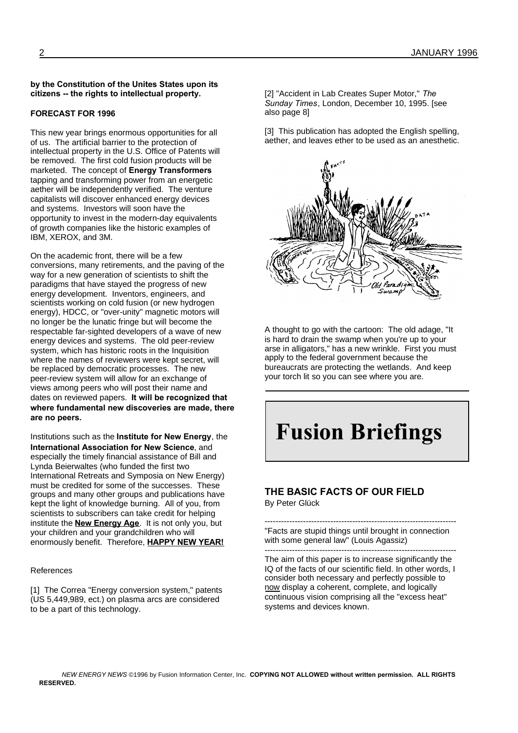**by the Constitution of the Unites States upon its citizens -- the rights to intellectual property.**

#### **FORECAST FOR 1996**

This new year brings enormous opportunities for all of us. The artificial barrier to the protection of intellectual property in the U.S. Office of Patents will be removed. The first cold fusion products will be marketed. The concept of **Energy Transformers** tapping and transforming power from an energetic aether will be independently verified. The venture capitalists will discover enhanced energy devices and systems. Investors will soon have the opportunity to invest in the modern-day equivalents of growth companies like the historic examples of IBM, XEROX, and 3M.

On the academic front, there will be a few conversions, many retirements, and the paving of the way for a new generation of scientists to shift the paradigms that have stayed the progress of new energy development. Inventors, engineers, and scientists working on cold fusion (or new hydrogen energy), HDCC, or "over-unity" magnetic motors will no longer be the lunatic fringe but will become the respectable far-sighted developers of a wave of new energy devices and systems. The old peer-review system, which has historic roots in the Inquisition where the names of reviewers were kept secret, will be replaced by democratic processes. The new peer-review system will allow for an exchange of views among peers who will post their name and dates on reviewed papers. **It will be recognized that where fundamental new discoveries are made, there are no peers.**

Institutions such as the **Institute for New Energy**, the **International Association for New Science**, and especially the timely financial assistance of Bill and Lynda Beierwaltes (who funded the first two International Retreats and Symposia on New Energy) must be credited for some of the successes. These groups and many other groups and publications have kept the light of knowledge burning. All of you, from scientists to subscribers can take credit for helping institute the **New Energy Age**. It is not only you, but your children and your grandchildren who will enormously benefit. Therefore, **HAPPY NEW YEAR!**

#### References

[1] The Correa "Energy conversion system," patents (US 5,449,989, ect.) on plasma arcs are considered to be a part of this technology.

[2] "Accident in Lab Creates Super Motor," *The Sunday Times*, London, December 10, 1995. [see also page 8]

[3] This publication has adopted the English spelling. aether, and leaves ether to be used as an anesthetic.



A thought to go with the cartoon: The old adage, "It is hard to drain the swamp when you're up to your arse in alligators," has a new wrinkle. First you must apply to the federal government because the bureaucrats are protecting the wetlands. And keep your torch lit so you can see where you are.

# **Fusion Briefings**

#### **THE BASIC FACTS OF OUR FIELD** By Peter Glück

---------------------------------------------------------------------- "Facts are stupid things until brought in connection with some general law" (Louis Agassiz)

---------------------------------------------------------------------- The aim of this paper is to increase significantly the IQ of the facts of our scientific field. In other words, I consider both necessary and perfectly possible to now display a coherent, complete, and logically continuous vision comprising all the "excess heat" systems and devices known.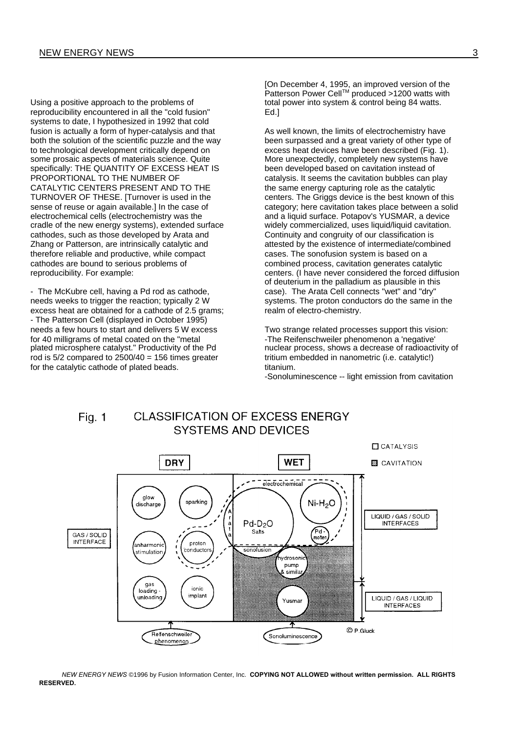Using a positive approach to the problems of reproducibility encountered in all the "cold fusion" systems to date, I hypothesized in 1992 that cold fusion is actually a form of hyper-catalysis and that both the solution of the scientific puzzle and the way to technological development critically depend on some prosaic aspects of materials science. Quite specifically: THE QUANTITY OF EXCESS HEAT IS PROPORTIONAL TO THE NUMBER OF CATALYTIC CENTERS PRESENT AND TO THE TURNOVER OF THESE. [Turnover is used in the sense of reuse or again available.] In the case of electrochemical cells (electrochemistry was the cradle of the new energy systems), extended surface cathodes, such as those developed by Arata and Zhang or Patterson, are intrinsically catalytic and therefore reliable and productive, while compact cathodes are bound to serious problems of reproducibility. For example:

- The McKubre cell, having a Pd rod as cathode, needs weeks to trigger the reaction; typically 2 W excess heat are obtained for a cathode of 2.5 grams; - The Patterson Cell (displayed in October 1995) needs a few hours to start and delivers 5 W excess for 40 milligrams of metal coated on the "metal plated microsphere catalyst." Productivity of the Pd rod is  $5/2$  compared to  $2500/40 = 156$  times greater for the catalytic cathode of plated beads.

[On December 4, 1995, an improved version of the Patterson Power Cell™ produced >1200 watts with total power into system & control being 84 watts. Ed.]

As well known, the limits of electrochemistry have been surpassed and a great variety of other type of excess heat devices have been described (Fig. 1). More unexpectedly, completely new systems have been developed based on cavitation instead of catalysis. It seems the cavitation bubbles can play the same energy capturing role as the catalytic centers. The Griggs device is the best known of this category; here cavitation takes place between a solid and a liquid surface. Potapov's YUSMAR, a device widely commercialized, uses liquid/liquid cavitation. Continuity and congruity of our classification is attested by the existence of intermediate/combined cases. The sonofusion system is based on a combined process, cavitation generates catalytic centers. (I have never considered the forced diffusion of deuterium in the palladium as plausible in this case). The Arata Cell connects "wet" and "dry" systems. The proton conductors do the same in the realm of electro-chemistry.

Two strange related processes support this vision: -The Reifenschweiler phenomenon a 'negative' nuclear process, shows a decrease of radioactivity of tritium embedded in nanometric (i.e. catalytic!) titanium.

-Sonoluminescence -- light emission from cavitation



*NEW ENERGY NEWS* ©1996 by Fusion Information Center, Inc. **COPYING NOT ALLOWED without written permission. ALL RIGHTS RESERVED.**

#### **CLASSIFICATION OF EXCESS ENERGY**  $Fig. 1$ **SYSTEMS AND DEVICES**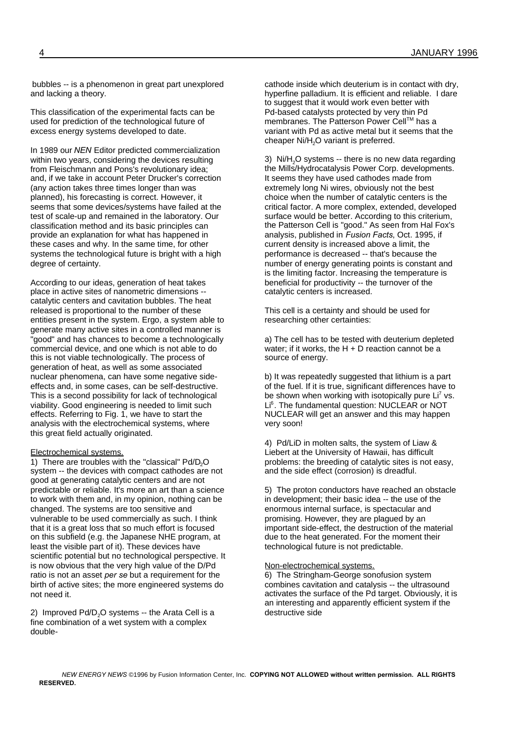bubbles -- is a phenomenon in great part unexplored and lacking a theory.

This classification of the experimental facts can be used for prediction of the technological future of excess energy systems developed to date.

In 1989 our *NEN* Editor predicted commercialization within two years, considering the devices resulting from Fleischmann and Pons's revolutionary idea; and, if we take in account Peter Drucker's correction (any action takes three times longer than was planned), his forecasting is correct. However, it seems that some devices/systems have failed at the test of scale-up and remained in the laboratory. Our classification method and its basic principles can provide an explanation for what has happened in these cases and why. In the same time, for other systems the technological future is bright with a high degree of certainty.

According to our ideas, generation of heat takes place in active sites of nanometric dimensions - catalytic centers and cavitation bubbles. The heat released is proportional to the number of these entities present in the system. Ergo, a system able to generate many active sites in a controlled manner is "good" and has chances to become a technologically commercial device, and one which is not able to do this is not viable technologically. The process of generation of heat, as well as some associated nuclear phenomena, can have some negative sideeffects and, in some cases, can be self-destructive. This is a second possibility for lack of technological viability. Good engineering is needed to limit such effects. Referring to Fig. 1, we have to start the analysis with the electrochemical systems, where this great field actually originated.

#### Electrochemical systems.

1) There are troubles with the "classical" Pd/D<sub>2</sub>O system -- the devices with compact cathodes are not good at generating catalytic centers and are not predictable or reliable. It's more an art than a science to work with them and, in my opinion, nothing can be changed. The systems are too sensitive and vulnerable to be used commercially as such. I think that it is a great loss that so much effort is focused on this subfield (e.g. the Japanese NHE program, at least the visible part of it). These devices have scientific potential but no technological perspective. It is now obvious that the very high value of the D/Pd ratio is not an asset *per se* but a requirement for the birth of active sites; the more engineered systems do not need it.

2) Improved  $Pd/D<sub>2</sub>O$  systems -- the Arata Cell is a fine combination of a wet system with a complex doublecathode inside which deuterium is in contact with dry, hyperfine palladium. It is efficient and reliable. I dare to suggest that it would work even better with Pd-based catalysts protected by very thin Pd membranes. The Patterson Power Cell™ has a variant with Pd as active metal but it seems that the cheaper Ni/H<sub>2</sub>O variant is preferred.

3) Ni/H<sub>2</sub>O systems -- there is no new data regarding the Mills/Hydrocatalysis Power Corp. developments. It seems they have used cathodes made from extremely long Ni wires, obviously not the best choice when the number of catalytic centers is the critical factor. A more complex, extended, developed surface would be better. According to this criterium, the Patterson Cell is "good." As seen from Hal Fox's analysis, published in *Fusion Facts*, Oct. 1995, if current density is increased above a limit, the performance is decreased -- that's because the number of energy generating points is constant and is the limiting factor. Increasing the temperature is beneficial for productivity -- the turnover of the catalytic centers is increased.

This cell is a certainty and should be used for researching other certainties:

a) The cell has to be tested with deuterium depleted water; if it works, the  $H + D$  reaction cannot be a source of energy.

b) It was repeatedly suggested that lithium is a part of the fuel. If it is true, significant differences have to be shown when working with isotopically pure  $Li<sup>7</sup>$  vs. Li<sup>6</sup>. The fundamental question: NUCLEAR or NOT NUCLEAR will get an answer and this may happen very soon!

4) Pd/LiD in molten salts, the system of Liaw & Liebert at the University of Hawaii, has difficult problems: the breeding of catalytic sites is not easy, and the side effect (corrosion) is dreadful.

5) The proton conductors have reached an obstacle in development; their basic idea -- the use of the enormous internal surface, is spectacular and promising. However, they are plagued by an important side-effect, the destruction of the material due to the heat generated. For the moment their technological future is not predictable.

#### Non-electrochemical systems.

6) The Stringham-George sonofusion system combines cavitation and catalysis -- the ultrasound activates the surface of the Pd target. Obviously, it is an interesting and apparently efficient system if the destructive side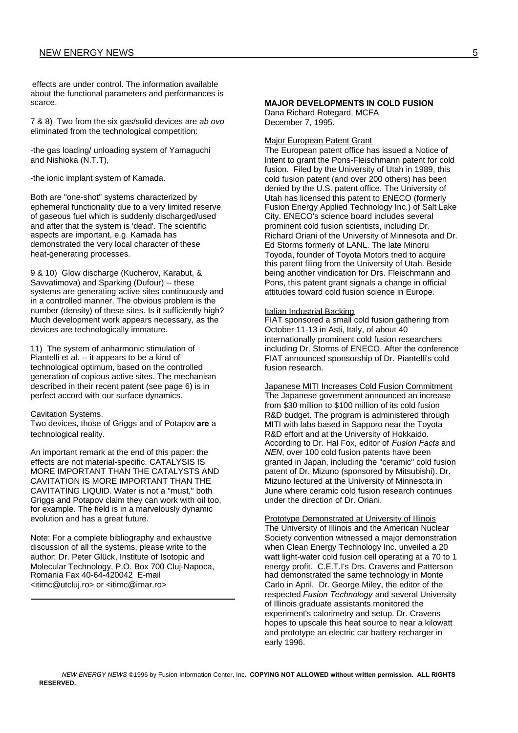effects are under control. The information available about the functional parameters and performances is scarce.

7 & 8) Two from the six gas/solid devices are *ab ovo* eliminated from the technological competition:

-the gas loading/ unloading system of Yamaguchi and Nishioka (N.T.T),

-the ionic implant system of Kamada.

Both are "one-shot" systems characterized by ephemeral functionality due to a very limited reserve of gaseous fuel which is suddenly discharged/used and after that the system is 'dead'. The scientific aspects are important, e.g. Kamada has demonstrated the very local character of these heat-generating processes.

9 & 10) Glow discharge (Kucherov, Karabut, & Savvatimova) and Sparking (Dufour) -- these systems are generating active sites continuously and in a controlled manner. The obvious problem is the number (density) of these sites. Is it sufficiently high? Much development work appears necessary, as the devices are technologically immature.

11) The system of anharmonic stimulation of Piantelli et al. -- it appears to be a kind of technological optimum, based on the controlled generation of copious active sites. The mechanism described in their recent patent (see page 6) is in perfect accord with our surface dynamics.

#### Cavitation Systems.

Two devices, those of Griggs and of Potapov **are** a technological reality.

An important remark at the end of this paper: the effects are not material-specific. CATALYSIS IS MORE IMPORTANT THAN THE CATALYSTS AND CAVITATION IS MORE IMPORTANT THAN THE CAVITATING LIQUID. Water is not a "must," both Griggs and Potapov claim they can work with oil too, for example. The field is in a marvelously dynamic evolution and has a great future.

Note: For a complete bibliography and exhaustive discussion of all the systems, please write to the author: Dr. Peter Glück, Institute of Isotopic and Molecular Technology, P.O. Box 700 Cluj-Napoca, Romania Fax 40-64-420042 E-mail <itimc@utcluj.ro> or <itimc@imar.ro>

#### **MAJOR DEVELOPMENTS IN COLD FUSION**

Dana Richard Rotegard, MCFA December 7, 1995.

#### Major European Patent Grant

The European patent office has issued a Notice of Intent to grant the Pons-Fleischmann patent for cold fusion. Filed by the University of Utah in 1989, this cold fusion patent (and over 200 others) has been denied by the U.S. patent office. The University of Utah has licensed this patent to ENECO (formerly Fusion Energy Applied Technology Inc.) of Salt Lake City. ENECO's science board includes several prominent cold fusion scientists, including Dr. Richard Oriani of the University of Minnesota and Dr. Ed Storms formerly of LANL. The late Minoru Toyoda, founder of Toyota Motors tried to acquire this patent filing from the University of Utah. Beside being another vindication for Drs. Fleischmann and Pons, this patent grant signals a change in official attitudes toward cold fusion science in Europe.

#### Italian Industrial Backing

FIAT sponsored a small cold fusion gathering from October 11-13 in Asti, Italy, of about 40 internationally prominent cold fusion researchers including Dr. Storms of ENECO. After the conference FIAT announced sponsorship of Dr. Piantelli's cold fusion research.

Japanese MITI Increases Cold Fusion Commitment The Japanese government announced an increase from \$30 million to \$100 million of its cold fusion R&D budget. The program is administered through MITI with labs based in Sapporo near the Toyota R&D effort and at the University of Hokkaido. According to Dr. Hal Fox, editor of *Fusion Facts* and *NEN*, over 100 cold fusion patents have been granted in Japan, including the "ceramic" cold fusion patent of Dr. Mizuno (sponsored by Mitsubishi). Dr. Mizuno lectured at the University of Minnesota in June where ceramic cold fusion research continues under the direction of Dr. Oriani.

Prototype Demonstrated at University of Illinois The University of Illinois and the American Nuclear Society convention witnessed a major demonstration when Clean Energy Technology Inc. unveiled a 20 watt light-water cold fusion cell operating at a 70 to 1 energy profit. C.E.T.I's Drs. Cravens and Patterson had demonstrated the same technology in Monte Carlo in April. Dr. George Miley, the editor of the respected *Fusion Technology* and several University of Illinois graduate assistants monitored the experiment's calorimetry and setup. Dr. Cravens hopes to upscale this heat source to near a kilowatt and prototype an electric car battery recharger in early 1996.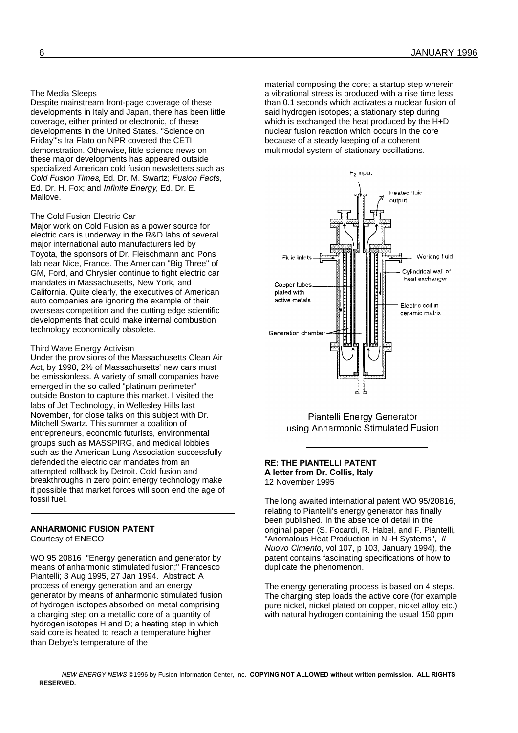#### The Media Sleeps

Despite mainstream front-page coverage of these developments in Italy and Japan, there has been little coverage, either printed or electronic, of these developments in the United States. "Science on Friday"'s Ira Flato on NPR covered the CETI demonstration. Otherwise, little science news on these major developments has appeared outside specialized American cold fusion newsletters such as *Cold Fusion Times*, Ed. Dr. M. Swartz; *Fusion Facts*, Ed. Dr. H. Fox; and *Infinite Energy*, Ed. Dr. E. Mallove.

#### The Cold Fusion Electric Car

Major work on Cold Fusion as a power source for electric cars is underway in the R&D labs of several major international auto manufacturers led by Toyota, the sponsors of Dr. Fleischmann and Pons lab near Nice, France. The American "Big Three" of GM, Ford, and Chrysler continue to fight electric car mandates in Massachusetts, New York, and California. Quite clearly, the executives of American auto companies are ignoring the example of their overseas competition and the cutting edge scientific developments that could make internal combustion technology economically obsolete.

#### Third Wave Energy Activism

Under the provisions of the Massachusetts Clean Air Act, by 1998, 2% of Massachusetts' new cars must be emissionless. A variety of small companies have emerged in the so called "platinum perimeter" outside Boston to capture this market. I visited the labs of Jet Technology, in Wellesley Hills last November, for close talks on this subject with Dr. Mitchell Swartz. This summer a coalition of entrepreneurs, economic futurists, environmental groups such as MASSPIRG, and medical lobbies such as the American Lung Association successfully defended the electric car mandates from an attempted rollback by Detroit. Cold fusion and breakthroughs in zero point energy technology make it possible that market forces will soon end the age of fossil fuel.

### **ANHARMONIC FUSION PATENT**

Courtesy of ENECO

WO 95 20816 "Energy generation and generator by means of anharmonic stimulated fusion;" Francesco Piantelli; 3 Aug 1995, 27 Jan 1994. Abstract: A process of energy generation and an energy generator by means of anharmonic stimulated fusion of hydrogen isotopes absorbed on metal comprising a charging step on a metallic core of a quantity of hydrogen isotopes H and D; a heating step in which said core is heated to reach a temperature higher than Debye's temperature of the

material composing the core; a startup step wherein a vibrational stress is produced with a rise time less than 0.1 seconds which activates a nuclear fusion of said hydrogen isotopes; a stationary step during which is exchanged the heat produced by the H+D nuclear fusion reaction which occurs in the core because of a steady keeping of a coherent multimodal system of stationary oscillations.



Piantelli Energy Generator using Anharmonic Stimulated Fusion

#### **RE: THE PIANTELLI PATENT A letter from Dr. Collis, Italy**

12 November 1995

The long awaited international patent WO 95/20816, relating to Piantelli's energy generator has finally been published. In the absence of detail in the original paper (S. Focardi, R. Habel, and F. Piantelli, "Anomalous Heat Production in Ni-H Systems", *Il Nuovo Cimento*, vol 107, p 103, January 1994), the patent contains fascinating specifications of how to duplicate the phenomenon.

The energy generating process is based on 4 steps. The charging step loads the active core (for example pure nickel, nickel plated on copper, nickel alloy etc.) with natural hydrogen containing the usual 150 ppm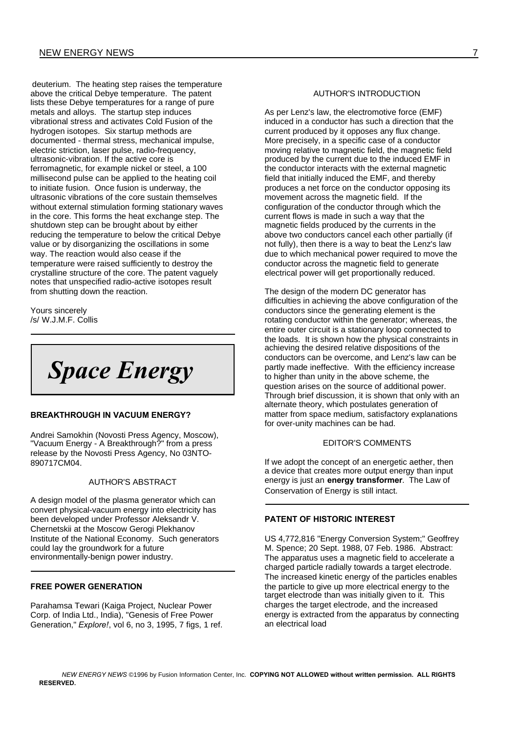deuterium. The heating step raises the temperature above the critical Debye temperature. The patent lists these Debye temperatures for a range of pure metals and alloys. The startup step induces vibrational stress and activates Cold Fusion of the hydrogen isotopes. Six startup methods are documented - thermal stress, mechanical impulse, electric striction, laser pulse, radio-frequency, ultrasonic-vibration. If the active core is ferromagnetic, for example nickel or steel, a 100 millisecond pulse can be applied to the heating coil to initiate fusion. Once fusion is underway, the ultrasonic vibrations of the core sustain themselves without external stimulation forming stationary waves in the core. This forms the heat exchange step. The shutdown step can be brought about by either reducing the temperature to below the critical Debye value or by disorganizing the oscillations in some way. The reaction would also cease if the temperature were raised sufficiently to destroy the crystalline structure of the core. The patent vaguely notes that unspecified radio-active isotopes result from shutting down the reaction.

Yours sincerely /s/ W.J.M.F. Collis



#### **BREAKTHROUGH IN VACUUM ENERGY?**

Andrei Samokhin (Novosti Press Agency, Moscow), "Vacuum Energy - A Breakthrough?" from a press release by the Novosti Press Agency, No 03NTO-890717CM04.

#### AUTHOR'S ABSTRACT

A design model of the plasma generator which can convert physical-vacuum energy into electricity has been developed under Professor Aleksandr V. Chernetskii at the Moscow Gerogi Plekhanov Institute of the National Economy. Such generators could lay the groundwork for a future environmentally-benign power industry.

#### **FREE POWER GENERATION**

Parahamsa Tewari (Kaiga Project, Nuclear Power Corp. of India Ltd., India), "Genesis of Free Power Generation," *Explore!*, vol 6, no 3, 1995, 7 figs, 1 ref.

#### AUTHOR'S INTRODUCTION

As per Lenz's law, the electromotive force (EMF) induced in a conductor has such a direction that the current produced by it opposes any flux change. More precisely, in a specific case of a conductor moving relative to magnetic field, the magnetic field produced by the current due to the induced EMF in the conductor interacts with the external magnetic field that initially induced the EMF, and thereby produces a net force on the conductor opposing its movement across the magnetic field. If the configuration of the conductor through which the current flows is made in such a way that the magnetic fields produced by the currents in the above two conductors cancel each other partially (if not fully), then there is a way to beat the Lenz's law due to which mechanical power required to move the conductor across the magnetic field to generate electrical power will get proportionally reduced.

The design of the modern DC generator has difficulties in achieving the above configuration of the conductors since the generating element is the rotating conductor within the generator; whereas, the entire outer circuit is a stationary loop connected to the loads. It is shown how the physical constraints in achieving the desired relative dispositions of the conductors can be overcome, and Lenz's law can be partly made ineffective. With the efficiency increase to higher than unity in the above scheme, the question arises on the source of additional power. Through brief discussion, it is shown that only with an alternate theory, which postulates generation of matter from space medium, satisfactory explanations for over-unity machines can be had.

#### EDITOR'S COMMENTS

If we adopt the concept of an energetic aether, then a device that creates more output energy than input energy is just an **energy transformer**. The Law of Conservation of Energy is still intact.

#### **PATENT OF HISTORIC INTEREST**

US 4,772,816 "Energy Conversion System;" Geoffrey M. Spence; 20 Sept. 1988, 07 Feb. 1986. Abstract: The apparatus uses a magnetic field to accelerate a charged particle radially towards a target electrode. The increased kinetic energy of the particles enables the particle to give up more electrical energy to the target electrode than was initially given to it. This charges the target electrode, and the increased energy is extracted from the apparatus by connecting an electrical load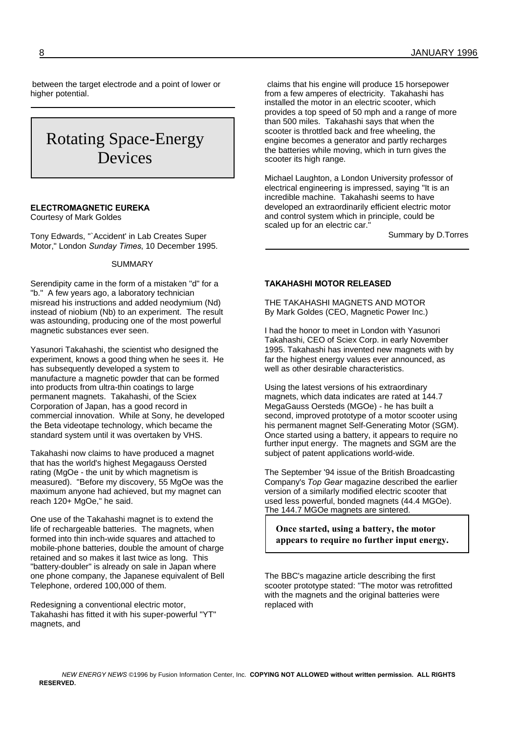between the target electrode and a point of lower or higher potential.

# Rotating Space-Energy Devices

#### **ELECTROMAGNETIC EUREKA**

Courtesy of Mark Goldes

Tony Edwards, "`Accident' in Lab Creates Super Motor," London *Sunday Times*, 10 December 1995.

#### SUMMARY

Serendipity came in the form of a mistaken "d" for a "b." A few years ago, a laboratory technician misread his instructions and added neodymium (Nd) instead of niobium (Nb) to an experiment. The result was astounding, producing one of the most powerful magnetic substances ever seen.

Yasunori Takahashi, the scientist who designed the experiment, knows a good thing when he sees it. He has subsequently developed a system to manufacture a magnetic powder that can be formed into products from ultra-thin coatings to large permanent magnets. Takahashi, of the Sciex Corporation of Japan, has a good record in commercial innovation. While at Sony, he developed the Beta videotape technology, which became the standard system until it was overtaken by VHS.

Takahashi now claims to have produced a magnet that has the world's highest Megagauss Oersted rating (MgOe - the unit by which magnetism is measured). "Before my discovery, 55 MgOe was the maximum anyone had achieved, but my magnet can reach 120+ MgOe," he said.

One use of the Takahashi magnet is to extend the life of rechargeable batteries. The magnets, when formed into thin inch-wide squares and attached to mobile-phone batteries, double the amount of charge retained and so makes it last twice as long. This "battery-doubler" is already on sale in Japan where one phone company, the Japanese equivalent of Bell Telephone, ordered 100,000 of them.

Redesigning a conventional electric motor, Takahashi has fitted it with his super-powerful "YT" magnets, and

claims that his engine will produce 15 horsepower from a few amperes of electricity. Takahashi has installed the motor in an electric scooter, which provides a top speed of 50 mph and a range of more than 500 miles. Takahashi says that when the scooter is throttled back and free wheeling, the engine becomes a generator and partly recharges the batteries while moving, which in turn gives the scooter its high range.

Michael Laughton, a London University professor of electrical engineering is impressed, saying "It is an incredible machine. Takahashi seems to have developed an extraordinarily efficient electric motor and control system which in principle, could be scaled up for an electric car."

Summary by D.Torres

#### **TAKAHASHI MOTOR RELEASED**

THE TAKAHASHI MAGNETS AND MOTOR By Mark Goldes (CEO, Magnetic Power Inc.)

I had the honor to meet in London with Yasunori Takahashi, CEO of Sciex Corp. in early November 1995. Takahashi has invented new magnets with by far the highest energy values ever announced, as well as other desirable characteristics.

Using the latest versions of his extraordinary magnets, which data indicates are rated at 144.7 MegaGauss Oersteds (MGOe) - he has built a second, improved prototype of a motor scooter using his permanent magnet Self-Generating Motor (SGM). Once started using a battery, it appears to require no further input energy. The magnets and SGM are the subject of patent applications world-wide.

The September '94 issue of the British Broadcasting Company's *Top Gear* magazine described the earlier version of a similarly modified electric scooter that used less powerful, bonded magnets (44.4 MGOe). The 144.7 MGOe magnets are sintered.

**Once started, using a battery, the motor appears to require no further input energy.**

The BBC's magazine article describing the first scooter prototype stated: "The motor was retrofitted with the magnets and the original batteries were replaced with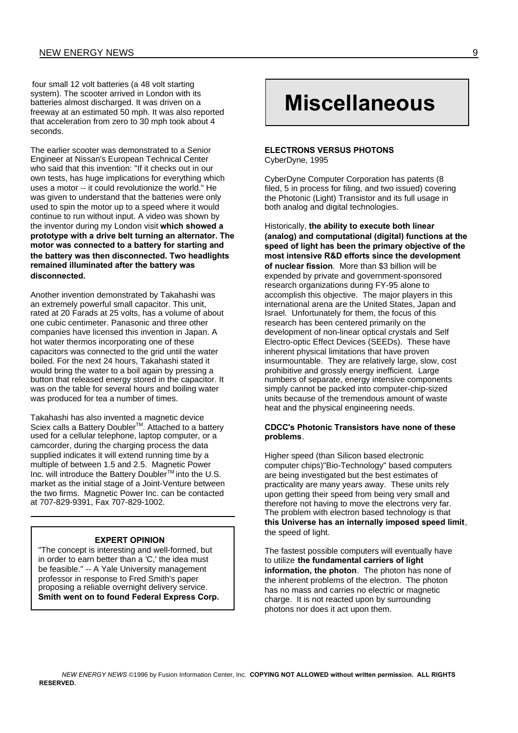four small 12 volt batteries (a 48 volt starting system). The scooter arrived in London with its batteries almost discharged. It was driven on a freeway at an estimated 50 mph. It was also reported that acceleration from zero to 30 mph took about 4 seconds.

The earlier scooter was demonstrated to a Senior Engineer at Nissan's European Technical Center who said that this invention: "If it checks out in our own tests, has huge implications for everything which uses a motor -- it could revolutionize the world." He was given to understand that the batteries were only used to spin the motor up to a speed where it would continue to run without input. A video was shown by the inventor during my London visit **which showed a prototype with a drive belt turning an alternator. The motor was connected to a battery for starting and the battery was then disconnected. Two headlights remained illuminated after the battery was disconnected.**

Another invention demonstrated by Takahashi was an extremely powerful small capacitor. This unit, rated at 20 Farads at 25 volts, has a volume of about one cubic centimeter. Panasonic and three other companies have licensed this invention in Japan. A hot water thermos incorporating one of these capacitors was connected to the grid until the water boiled. For the next 24 hours, Takahashi stated it would bring the water to a boil again by pressing a button that released energy stored in the capacitor. It was on the table for several hours and boiling water was produced for tea a number of times.

Takahashi has also invented a magnetic device Sciex calls a Battery Doubler<sup>™</sup>. Attached to a battery used for a cellular telephone, laptop computer, or a camcorder, during the charging process the data supplied indicates it will extend running time by a multiple of between 1.5 and 2.5. Magnetic Power Inc. will introduce the Battery Doubler™ into the U.S. market as the initial stage of a Joint-Venture between the two firms. Magnetic Power Inc. can be contacted at 707-829-9391, Fax 707-829-1002.

#### **EXPERT OPINION**

"The concept is interesting and well-formed, but in order to earn better than a 'C,' the idea must be feasible." -- A Yale University management professor in response to Fred Smith's paper proposing a reliable overnight delivery service. **Smith went on to found Federal Express Corp.**

# **Miscellaneous**

#### **ELECTRONS VERSUS PHOTONS** CyberDyne, 1995

CyberDyne Computer Corporation has patents (8 filed, 5 in process for filing, and two issued) covering the Photonic (Light) Transistor and its full usage in both analog and digital technologies.

Historically, **the ability to execute both linear (analog) and computational (digital) functions at the speed of light has been the primary objective of the most intensive R&D efforts since the development of nuclear fission**. More than \$3 billion will be expended by private and government-sponsored research organizations during FY-95 alone to accomplish this objective. The major players in this international arena are the United States, Japan and Israel. Unfortunately for them, the focus of this research has been centered primarily on the development of non-linear optical crystals and Self Electro-optic Effect Devices (SEEDs). These have inherent physical limitations that have proven insurmountable. They are relatively large, slow, cost prohibitive and grossly energy inefficient. Large numbers of separate, energy intensive components simply cannot be packed into computer-chip-sized units because of the tremendous amount of waste heat and the physical engineering needs.

#### **CDCC's Photonic Transistors have none of these problems**.

Higher speed (than Silicon based electronic computer chips)"Bio-Technology" based computers are being investigated but the best estimates of practicality are many years away. These units rely upon getting their speed from being very small and therefore not having to move the electrons very far. The problem with electron based technology is that **this Universe has an internally imposed speed limit**, the speed of light.

The fastest possible computers will eventually have to utilize **the fundamental carriers of light information, the photon**. The photon has none of the inherent problems of the electron. The photon has no mass and carries no electric or magnetic charge. It is not reacted upon by surrounding photons nor does it act upon them.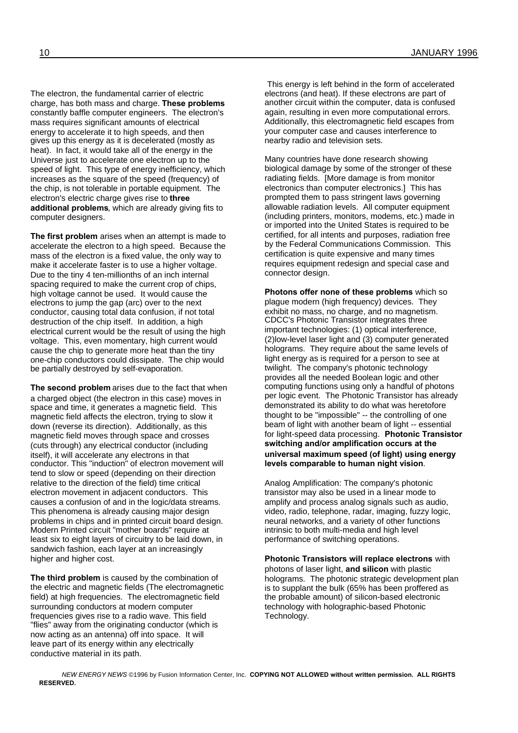The electron, the fundamental carrier of electric charge, has both mass and charge. **These problems** constantly baffle computer engineers. The electron's mass requires significant amounts of electrical energy to accelerate it to high speeds, and then gives up this energy as it is decelerated (mostly as heat). In fact, it would take all of the energy in the Universe just to accelerate one electron up to the speed of light. This type of energy inefficiency, which increases as the square of the speed (frequency) of the chip, is not tolerable in portable equipment. The electron's electric charge gives rise to **three additional problems**, which are already giving fits to computer designers.

**The first problem** arises when an attempt is made to accelerate the electron to a high speed. Because the mass of the electron is a fixed value, the only way to make it accelerate faster is to use a higher voltage. Due to the tiny 4 ten-millionths of an inch internal spacing required to make the current crop of chips, high voltage cannot be used. It would cause the electrons to jump the gap (arc) over to the next conductor, causing total data confusion, if not total destruction of the chip itself. In addition, a high electrical current would be the result of using the high voltage. This, even momentary, high current would cause the chip to generate more heat than the tiny one-chip conductors could dissipate. The chip would be partialIy destroyed by self-evaporation.

**The second problem** arises due to the fact that when a charged object (the electron in this case) moves in space and time, it generates a magnetic field. This magnetic field affects the electron, trying to slow it down (reverse its direction). Additionally, as this magnetic field moves through space and crosses (cuts through) any electrical conductor (including itself), it will accelerate any electrons in that conductor. This "induction" of electron movement will tend to slow or speed (depending on their direction relative to the direction of the field) time critical electron movement in adjacent conductors. This causes a confusion of and in the logic/data streams. This phenomena is already causing major design problems in chips and in printed circuit board design. Modern Printed circuit "mother boards" require at least six to eight layers of circuitry to be laid down, in sandwich fashion, each layer at an increasingly higher and higher cost.

**The third problem** is caused by the combination of the electric and magnetic fields (The electromagnetic field) at high frequencies. The electromagnetic field surrounding conductors at modern computer frequencies gives rise to a radio wave. This field "flies" away from the originating conductor (which is now acting as an antenna) off into space. It will leave part of its energy within any electrically conductive material in its path.

This energy is left behind in the form of accelerated electrons (and heat). If these electrons are part of another circuit within the computer, data is confused again, resulting in even more computational errors. Additionally, this electromagnetic field escapes from your computer case and causes interference to nearby radio and television sets.

Many countries have done research showing biological damage by some of the stronger of these radiating fields. [More damage is from monitor electronics than computer electronics.] This has prompted them to pass stringent laws governing allowable radiation levels. All computer equipment (including printers, monitors, modems, etc.) made in or imported into the United States is required to be certified, for all intents and purposes, radiation free by the Federal Communications Commission. This certification is quite expensive and many times requires equipment redesign and special case and connector design.

**Photons offer none of these problems** which so plague modern (high frequency) devices. They exhibit no mass, no charge, and no magnetism. CDCC's Photonic Transistor integrates three important technologies: (1) optical interference, (2)low-level laser light and (3) computer generated holograms. They require about the same levels of light energy as is required for a person to see at twilight. The company's photonic technology provides all the needed Boolean logic and other computing functions using only a handful of photons per logic event. The Photonic Transistor has already demonstrated its ability to do what was heretofore thought to be "impossible" -- the controlling of one beam of light with another beam of light -- essential for light-speed data processing. **Photonic Transistor switching and/or amplification occurs at the universal maximum speed (of light) using energy levels comparable to human night vision**.

Analog Amplification: The company's photonic transistor may also be used in a linear mode to amplify and process analog signals such as audio, video, radio, telephone, radar, imaging, fuzzy logic, neural networks, and a variety of other functions intrinsic to both multi-media and high level performance of switching operations.

**Photonic Transistors will replace electrons** with photons of laser light, **and silicon** with plastic holograms. The photonic strategic development plan is to supplant the bulk (65% has been proffered as the probable amount) of silicon-based electronic technology with holographic-based Photonic Technology.

*NEW ENERGY NEWS* ©1996 by Fusion Information Center, Inc. **COPYING NOT ALLOWED without written permission. ALL RIGHTS RESERVED.**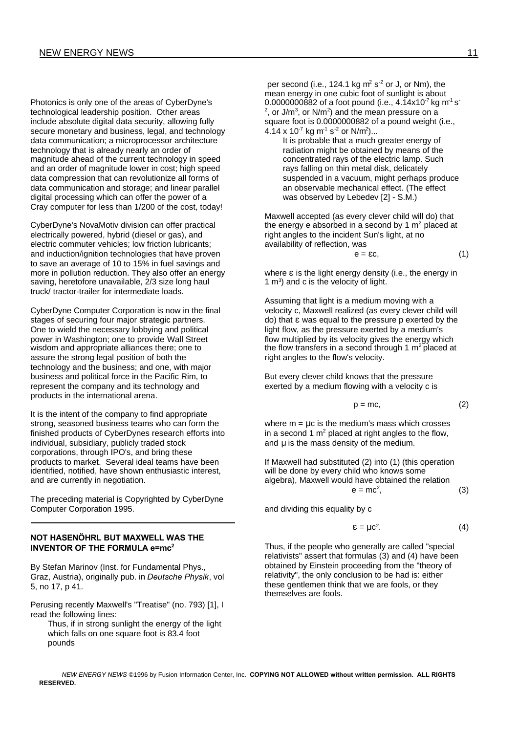Photonics is only one of the areas of CyberDyne's technological leadership position. Other areas include absolute digital data security, allowing fully secure monetary and business, legal, and technology data communication; a microprocessor architecture technology that is already nearly an order of magnitude ahead of the current technology in speed and an order of magnitude lower in cost; high speed data compression that can revolutionize all forms of data communication and storage; and linear parallel digital processing which can offer the power of a Cray computer for less than 1/200 of the cost, today!

CyberDyne's NovaMotiv division can offer practical electrically powered, hybrid (diesel or gas), and electric commuter vehicles; low friction lubricants; and induction/ignition technologies that have proven to save an average of 10 to 15% in fuel savings and more in pollution reduction. They also offer an energy saving, heretofore unavailable, 2/3 size long haul truck/ tractor-trailer for intermediate loads.

CyberDyne Computer Corporation is now in the final stages of securing four major strategic partners. One to wield the necessary lobbying and political power in Washington; one to provide Wall Street wisdom and appropriate alliances there; one to assure the strong legal position of both the technology and the business; and one, with major business and political force in the Pacific Rim, to represent the company and its technology and products in the international arena.

It is the intent of the company to find appropriate strong, seasoned business teams who can form the finished products of CyberDynes research efforts into individual, subsidiary, publicly traded stock corporations, through IPO's, and bring these products to market. Several ideal teams have been identified, notified, have shown enthusiastic interest, and are currently in negotiation.

The preceding material is Copyrighted by CyberDyne Computer Corporation 1995.

#### **NOT HASENÖHRL BUT MAXWELL WAS THE INVENTOR OF THE FORMULA e=mc<sup>2</sup>**

By Stefan Marinov (Inst. for Fundamental Phys., Graz, Austria), originally pub. in *Deutsche Physik*, vol 5, no 17, p 41.

Perusing recently Maxwell's "Treatise" (no. 793) [1], I read the following lines:

Thus, if in strong sunlight the energy of the light which falls on one square foot is 83.4 foot pounds

per second (i.e., 124.1 kg  $\textsf{m}^2\textsf{s}^{\textsf{-}2}$  or J, or Nm), the mean energy in one cubic foot of sunlight is about 0.0000000882 of a foot pound (i.e.,  $4.14x10^{-7}$  kg m<sup>-1</sup> s <sup>2</sup>, or J/m<sup>3</sup>, or N/m<sup>2</sup>) and the mean pressure on a square foot is 0.0000000882 of a pound weight (i.e., 4.14 x 10<sup>-7</sup> kg m<sup>-1</sup> s<sup>-2</sup> or N/m<sup>2</sup>)...

It is probable that a much greater energy of radiation might be obtained by means of the concentrated rays of the electric lamp. Such rays falling on thin metal disk, delicately suspended in a vacuum, might perhaps produce an observable mechanical effect. (The effect was observed by Lebedev [2] - S.M.)

Maxwell accepted (as every clever child will do) that the energy e absorbed in a second by 1  $\text{m}^2$  placed at right angles to the incident Sun's light, at no availability of reflection, was

$$
e = \epsilon c, \tag{1}
$$

where  $\varepsilon$  is the light energy density (i.e., the energy in 1 m<sup>3</sup> ) and c is the velocity of light.

Assuming that light is a medium moving with a velocity c, Maxwell realized (as every clever child will  $d$ o) that  $\varepsilon$  was equal to the pressure p exerted by the light flow, as the pressure exerted by a medium's flow multiplied by its velocity gives the energy which the flow transfers in a second through 1  $m^2$  placed at right angles to the flow's velocity.

But every clever child knows that the pressure exerted by a medium flowing with a velocity c is

$$
p = mc,\t\t(2)
$$

where  $m = \mu c$  is the medium's mass which crosses in a second 1  $m^2$  placed at right angles to the flow, and  $\mu$  is the mass density of the medium.

If Maxwell had substituted (2) into (1) (this operation will be done by every child who knows some algebra), Maxwell would have obtained the relation  $e = mc^2$ ,  $(3)$ 

and dividing this equality by c

$$
\varepsilon = \mu c^2. \tag{4}
$$

Thus, if the people who generally are called "special relativists" assert that formulas (3) and (4) have been obtained by Einstein proceeding from the "theory of relativity", the only conclusion to be had is: either these gentlemen think that we are fools, or they themselves are fools.

*NEW ENERGY NEWS* ©1996 by Fusion Information Center, Inc. **COPYING NOT ALLOWED without written permission. ALL RIGHTS RESERVED.**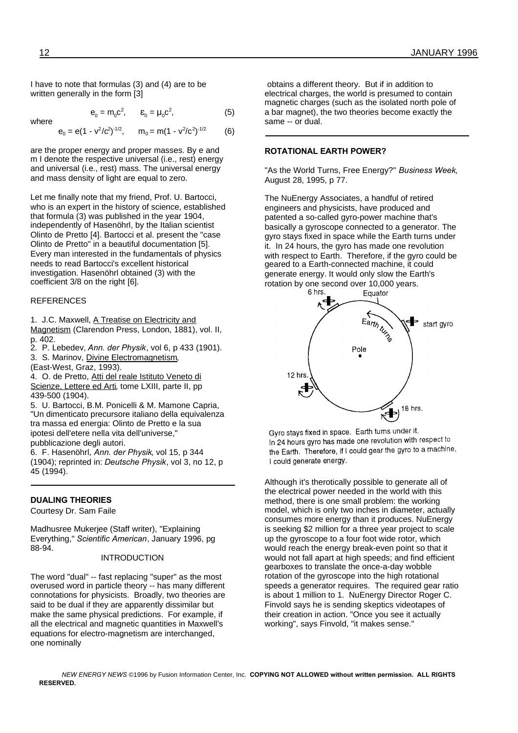I have to note that formulas (3) and (4) are to be written generally in the form [3]

$$
\mathbf{e}_0 = \mathbf{m}_0 \mathbf{c}^2, \qquad \mathbf{\varepsilon}_0 = \mathbf{\mu}_0 \mathbf{c}^2, \tag{5}
$$

 $(6)$ 

where

 $e_0 = e(1 - v^2/c^2)^{-1/2}$ ,  $m_0 = m(1 - v^2/c^2)^{-1/2}$ 

are the proper energy and proper masses. By e and m I denote the respective universal (i.e., rest) energy and universal (i.e., rest) mass. The universal energy and mass density of light are equal to zero.

Let me finally note that my friend, Prof. U. Bartocci, who is an expert in the history of science, established that formula (3) was published in the year 1904, independently of Hasenöhrl, by the Italian scientist Olinto de Pretto [4]. Bartocci et al. present the "case Olinto de Pretto" in a beautiful documentation [5]. Every man interested in the fundamentals of physics needs to read Bartocci's excellent historical investigation. Hasenöhrl obtained (3) with the coefficient 3/8 on the right [6].

#### **REFERENCES**

1. J.C. Maxwell, A Treatise on Electricity and Magnetism (Clarendon Press, London, 1881), vol. II, p. 402.

2. P. Lebedev, *Ann. der Physik*, vol 6, p 433 (1901).

3. S. Marinov, Divine Electromagnetism,

(East-West, Graz, 1993).

4. O. de Pretto, Atti del reale Istituto Veneto di Scienze, Lettere ed Arti, tome LXIII, parte II, pp 439-500 (1904).

5. U. Bartocci, B.M. Ponicelli & M. Mamone Capria, "Un dimenticato precursore italiano della equivalenza tra massa ed energia: Olinto de Pretto e la sua ipotesi dell'etere nella vita dell'universe," pubblicazione degli autori.

6. F. Hasenöhrl, *Ann. der Physik*, vol 15, p 344 (1904); reprinted in: *Deutsche Physik*, vol 3, no 12, p 45 (1994).

#### **DUALING THEORIES**

Courtesy Dr. Sam Faile

Madhusree Mukerjee (Staff writer), "Explaining Everything," *Scientific American*, January 1996, pg 88-94.

#### INTRODUCTION

The word "dual" -- fast replacing "super" as the most overused word in particle theory -- has many different connotations for physicists. Broadly, two theories are said to be dual if they are apparently dissimilar but make the same physical predictions. For example, if all the electrical and magnetic quantities in Maxwell's equations for electro-magnetism are interchanged, one nominally

obtains a different theory. But if in addition to electrical charges, the world is presumed to contain magnetic charges (such as the isolated north pole of a bar magnet), the two theories become exactly the same -- or dual.

#### **ROTATIONAL EARTH POWER?**

"As the World Turns, Free Energy?" *Business Week*, August 28, 1995, p 77.

The NuEnergy Associates, a handful of retired engineers and physicists, have produced and patented a so-called gyro-power machine that's basically a gyroscope connected to a generator. The gyro stays fixed in space while the Earth turns under it. In 24 hours, the gyro has made one revolution with respect to Earth. Therefore, if the gyro could be geared to a Earth-connected machine, it could generate energy. It would only slow the Earth's rotation by one second over 10,000 years.



Gyro stays fixed in space. Earth turns under it. In 24 hours gyro has made one revolution with respect to the Earth. Therefore, if I could gear the gyro to a machine, I could generate energy.

Although it's therotically possible to generate all of the electrical power needed in the world with this method, there is one small problem: the working model, which is only two inches in diameter, actually consumes more energy than it produces. NuEnergy is seeking \$2 million for a three year project to scale up the gyroscope to a four foot wide rotor, which would reach the energy break-even point so that it would not fall apart at high speeds; and find efficient gearboxes to translate the once-a-day wobble rotation of the gyroscope into the high rotational speeds a generator requires. The required gear ratio is about 1 million to 1. NuEnergy Director Roger C. Finvold says he is sending skeptics videotapes of their creation in action. "Once you see it actually working", says Finvold, "it makes sense."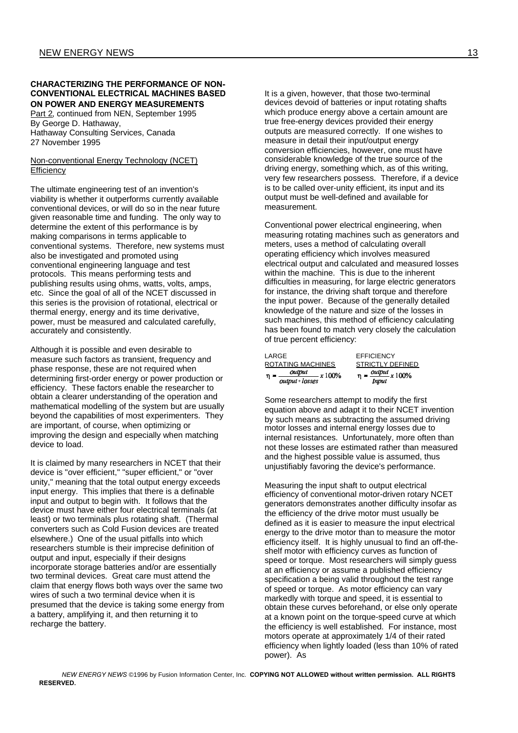#### **CHARACTERIZING THE PERFORMANCE OF NON-CONVENTIONAL ELECTRICAL MACHINES BASED ON POWER AND ENERGY MEASUREMENTS**

Part 2, continued from NEN, September 1995 By George D. Hathaway, Hathaway Consulting Services, Canada 27 November 1995

#### Non-conventional Energy Technology (NCET) **Efficiency**

The ultimate engineering test of an invention's viability is whether it outperforms currently available conventional devices, or will do so in the near future given reasonable time and funding. The only way to determine the extent of this performance is by making comparisons in terms applicable to conventional systems. Therefore, new systems must also be investigated and promoted using conventional engineering language and test protocols. This means performing tests and publishing results using ohms, watts, volts, amps, etc. Since the goal of all of the NCET discussed in this series is the provision of rotational, electrical or thermal energy, energy and its time derivative, power, must be measured and calculated carefully, accurately and consistently.

Although it is possible and even desirable to measure such factors as transient, frequency and phase response, these are not required when determining first-order energy or power production or efficiency. These factors enable the researcher to obtain a clearer understanding of the operation and mathematical modelling of the system but are usually beyond the capabilities of most experimenters. They are important, of course, when optimizing or improving the design and especially when matching device to load.

It is claimed by many researchers in NCET that their device is "over efficient," "super efficient," or "over unity," meaning that the total output energy exceeds input energy. This implies that there is a definable input and output to begin with. It follows that the device must have either four electrical terminals (at least) or two terminals plus rotating shaft. (Thermal converters such as Cold Fusion devices are treated elsewhere.) One of the usual pitfalls into which researchers stumble is their imprecise definition of output and input, especially if their designs incorporate storage batteries and/or are essentially two terminal devices. Great care must attend the claim that energy flows both ways over the same two wires of such a two terminal device when it is presumed that the device is taking some energy from a battery, amplifying it, and then returning it to recharge the battery.

It is a given, however, that those two-terminal devices devoid of batteries or input rotating shafts which produce energy above a certain amount are true free-energy devices provided their energy outputs are measured correctly. If one wishes to measure in detail their input/output energy conversion efficiencies, however, one must have considerable knowledge of the true source of the driving energy, something which, as of this writing, very few researchers possess. Therefore, if a device is to be called over-unity efficient, its input and its output must be well-defined and available for measurement.

Conventional power electrical engineering, when measuring rotating machines such as generators and meters, uses a method of calculating overall operating efficiency which involves measured electrical output and calculated and measured losses within the machine. This is due to the inherent difficulties in measuring, for large electric generators for instance, the driving shaft torque and therefore the input power. Because of the generally detailed knowledge of the nature and size of the losses in such machines, this method of efficiency calculating has been found to match very closely the calculation of true percent efficiency:

|                            | $\mu = \frac{output}{x} 100\%$ | $n = \frac{output}{x}$ 100% |
|----------------------------|--------------------------------|-----------------------------|
| <b>EFFICIENCY</b><br>LARGE | ROTATING MACHINES              | <b>STRICTLY DEFINED</b>     |

Some researchers attempt to modify the first equation above and adapt it to their NCET invention by such means as subtracting the assumed driving motor losses and internal energy losses due to internal resistances. Unfortunately, more often than not these losses are estimated rather than measured and the highest possible value is assumed, thus unjustifiably favoring the device's performance.

Measuring the input shaft to output electrical efficiency of conventional motor-driven rotary NCET generators demonstrates another difficulty insofar as the efficiency of the drive motor must usually be defined as it is easier to measure the input electrical energy to the drive motor than to measure the motor efficiency itself. It is highly unusual to find an off-theshelf motor with efficiency curves as function of speed or torque. Most researchers will simply guess at an efficiency or assume a published efficiency specification a being valid throughout the test range of speed or torque. As motor efficiency can vary markedly with torque and speed, it is essential to obtain these curves beforehand, or else only operate at a known point on the torque-speed curve at which the efficiency is well established. For instance, most motors operate at approximately 1/4 of their rated efficiency when lightly loaded (less than 10% of rated power). As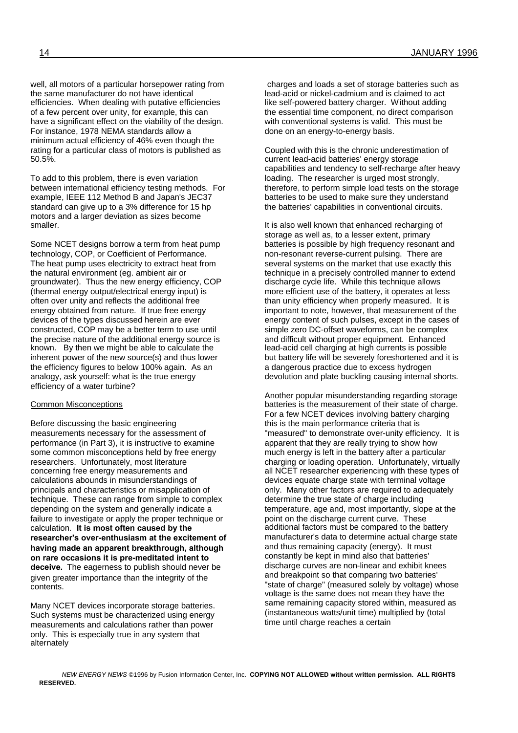well, all motors of a particular horsepower rating from the same manufacturer do not have identical efficiencies. When dealing with putative efficiencies of a few percent over unity, for example, this can have a significant effect on the viability of the design. For instance, 1978 NEMA standards allow a minimum actual efficiency of 46% even though the rating for a particular class of motors is published as 50.5%.

To add to this problem, there is even variation between international efficiency testing methods. For example, IEEE 112 Method B and Japan's JEC37 standard can give up to a 3% difference for 15 hp motors and a larger deviation as sizes become smaller.

Some NCET designs borrow a term from heat pump technology, COP, or Coefficient of Performance. The heat pump uses electricity to extract heat from the natural environment (eg. ambient air or groundwater). Thus the new energy efficiency, COP (thermal energy output/electrical energy input) is often over unity and reflects the additional free energy obtained from nature. If true free energy devices of the types discussed herein are ever constructed, COP may be a better term to use until the precise nature of the additional energy source is known. By then we might be able to calculate the inherent power of the new source(s) and thus lower the efficiency figures to below 100% again. As an analogy, ask yourself: what is the true energy efficiency of a water turbine?

#### Common Misconceptions

Before discussing the basic engineering measurements necessary for the assessment of performance (in Part 3), it is instructive to examine some common misconceptions held by free energy researchers. Unfortunately, most literature concerning free energy measurements and calculations abounds in misunderstandings of principals and characteristics or misapplication of technique. These can range from simple to complex depending on the system and generally indicate a failure to investigate or apply the proper technique or calculation. **It is most often caused by the researcher's over-enthusiasm at the excitement of having made an apparent breakthrough, although on rare occasions it is pre-meditated intent to deceive.** The eagerness to publish should never be given greater importance than the integrity of the contents.

Many NCET devices incorporate storage batteries. Such systems must be characterized using energy measurements and calculations rather than power only. This is especially true in any system that alternately

charges and loads a set of storage batteries such as lead-acid or nickel-cadmium and is claimed to act like self-powered battery charger. Without adding the essential time component, no direct comparison with conventional systems is valid. This must be done on an energy-to-energy basis.

Coupled with this is the chronic underestimation of current lead-acid batteries' energy storage capabilities and tendency to self-recharge after heavy loading. The researcher is urged most strongly. therefore, to perform simple load tests on the storage batteries to be used to make sure they understand the batteries' capabilities in conventional circuits.

It is also well known that enhanced recharging of storage as well as, to a lesser extent, primary batteries is possible by high frequency resonant and non-resonant reverse-current pulsing. There are several systems on the market that use exactly this technique in a precisely controlled manner to extend discharge cycle life. While this technique allows more efficient use of the battery, it operates at less than unity efficiency when properly measured. It is important to note, however, that measurement of the energy content of such pulses, except in the cases of simple zero DC-offset waveforms, can be complex and difficult without proper equipment. Enhanced lead-acid cell charging at high currents is possible but battery life will be severely foreshortened and it is a dangerous practice due to excess hydrogen devolution and plate buckling causing internal shorts.

Another popular misunderstanding regarding storage batteries is the measurement of their state of charge. For a few NCET devices involving battery charging this is the main performance criteria that is "measured" to demonstrate over-unity efficiency. It is apparent that they are really trying to show how much energy is left in the battery after a particular charging or loading operation. Unfortunately, virtually all NCET researcher experiencing with these types of devices equate charge state with terminal voltage only. Many other factors are required to adequately determine the true state of charge including temperature, age and, most importantly, slope at the point on the discharge current curve. These additional factors must be compared to the battery manufacturer's data to determine actual charge state and thus remaining capacity (energy). It must constantly be kept in mind also that batteries' discharge curves are non-linear and exhibit knees and breakpoint so that comparing two batteries' "state of charge" (measured solely by voltage) whose voltage is the same does not mean they have the same remaining capacity stored within, measured as (instantaneous watts/unit time) multiplied by (total time until charge reaches a certain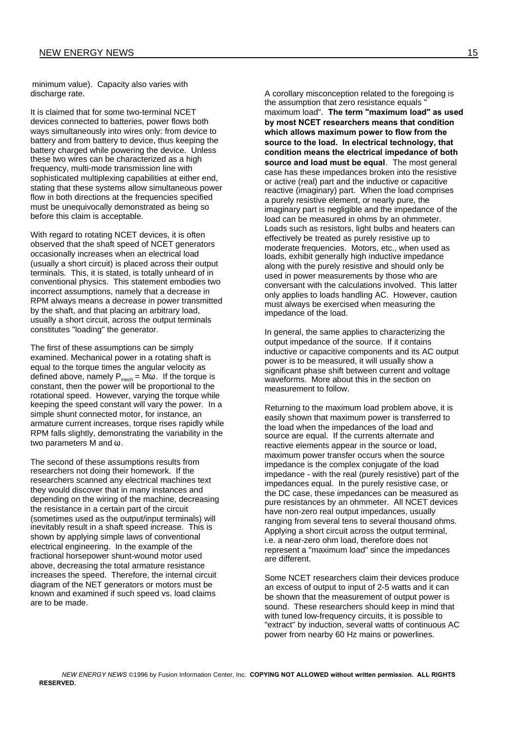minimum value). Capacity also varies with discharge rate.

It is claimed that for some two-terminal NCET devices connected to batteries, power flows both ways simultaneously into wires only: from device to battery and from battery to device, thus keeping the battery charged while powering the device. Unless these two wires can be characterized as a high frequency, multi-mode transmission line with sophisticated multiplexing capabilities at either end, stating that these systems allow simultaneous power flow in both directions at the frequencies specified must be unequivocally demonstrated as being so before this claim is acceptable.

With regard to rotating NCET devices, it is often observed that the shaft speed of NCET generators occasionally increases when an electrical load (usually a short circuit) is placed across their output terminals. This, it is stated, is totally unheard of in conventional physics. This statement embodies two incorrect assumptions, namely that a decrease in RPM always means a decrease in power transmitted by the shaft, and that placing an arbitrary load, usually a short circuit, across the output terminals constitutes "loading" the generator.

The first of these assumptions can be simply examined. Mechanical power in a rotating shaft is equal to the torque times the angular velocity as defined above, namely  $P_{mech} = M\omega$ . If the torque is constant, then the power will be proportional to the rotational speed. However, varying the torque while keeping the speed constant will vary the power. In a simple shunt connected motor, for instance, an armature current increases, torque rises rapidly while RPM falls slightly, demonstrating the variability in the two parameters  $M$  and  $\omega$ .

The second of these assumptions results from researchers not doing their homework. If the researchers scanned any electrical machines text they would discover that in many instances and depending on the wiring of the machine, decreasing the resistance in a certain part of the circuit (sometimes used as the output/input terminals) will inevitably result in a shaft speed increase. This is shown by applying simple laws of conventional electrical engineering. In the example of the fractional horsepower shunt-wound motor used above, decreasing the total armature resistance increases the speed. Therefore, the internal circuit diagram of the NET generators or motors must be known and examined if such speed vs. load claims are to be made.

A corollary misconception related to the foregoing is the assumption that zero resistance equals maximum load". **The term "maximum load" as used by most NCET researchers means that condition which allows maximum power to flow from the source to the load. In electrical technology, that condition means the electrical impedance of both source and load must be equal**. The most general case has these impedances broken into the resistive or active (real) part and the inductive or capacitive reactive (imaginary) part. When the load comprises a purely resistive element, or nearly pure, the imaginary part is negligible and the impedance of the load can be measured in ohms by an ohmmeter. Loads such as resistors, light bulbs and heaters can effectively be treated as purely resistive up to moderate frequencies. Motors, etc., when used as loads, exhibit generally high inductive impedance along with the purely resistive and should only be used in power measurements by those who are conversant with the calculations involved. This latter only applies to loads handling AC. However, caution must always be exercised when measuring the impedance of the load.

In general, the same applies to characterizing the output impedance of the source. If it contains inductive or capacitive components and its AC output power is to be measured, it will usually show a significant phase shift between current and voltage waveforms. More about this in the section on measurement to follow.

Returning to the maximum load problem above, it is easily shown that maximum power is transferred to the load when the impedances of the load and source are equal. If the currents alternate and reactive elements appear in the source or load, maximum power transfer occurs when the source impedance is the complex conjugate of the load impedance - with the real (purely resistive) part of the impedances equal. In the purely resistive case, or the DC case, these impedances can be measured as pure resistances by an ohmmeter. All NCET devices have non-zero real output impedances, usually ranging from several tens to several thousand ohms. Applying a short circuit across the output terminal, i.e. a near-zero ohm load, therefore does not represent a "maximum load" since the impedances are different.

Some NCET researchers claim their devices produce an excess of output to input of 2-5 watts and it can be shown that the measurement of output power is sound. These researchers should keep in mind that with tuned low-frequency circuits, it is possible to "extract" by induction, several watts of continuous AC power from nearby 60 Hz mains or powerlines.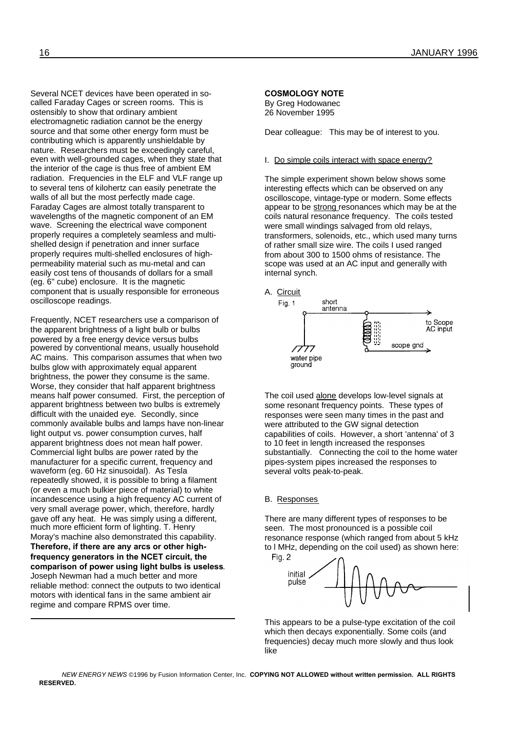Several NCET devices have been operated in socalled Faraday Cages or screen rooms. This is ostensibly to show that ordinary ambient electromagnetic radiation cannot be the energy source and that some other energy form must be contributing which is apparently unshieldable by nature. Researchers must be exceedingly careful, even with well-grounded cages, when they state that the interior of the cage is thus free of ambient EM radiation. Frequencies in the ELF and VLF range up to several tens of kilohertz can easily penetrate the walls of all but the most perfectly made cage. Faraday Cages are almost totally transparent to wavelengths of the magnetic component of an EM wave. Screening the electrical wave component properly requires a completely seamless and multishelled design if penetration and inner surface properly requires multi-shelled enclosures of highpermeability material such as mu-metal and can easily cost tens of thousands of dollars for a small (eg. 6" cube) enclosure. It is the magnetic component that is usually responsible for erroneous oscilloscope readings.

Frequently, NCET researchers use a comparison of the apparent brightness of a light bulb or bulbs powered by a free energy device versus bulbs powered by conventional means, usually household AC mains. This comparison assumes that when two bulbs glow with approximately equal apparent brightness, the power they consume is the same. Worse, they consider that half apparent brightness means half power consumed. First, the perception of apparent brightness between two bulbs is extremely difficult with the unaided eye. Secondly, since commonly available bulbs and lamps have non-linear light output vs. power consumption curves, half apparent brightness does not mean half power. Commercial light bulbs are power rated by the manufacturer for a specific current, frequency and waveform (eg. 60 Hz sinusoidal). As Tesla repeatedly showed, it is possible to bring a filament (or even a much bulkier piece of material) to white incandescence using a high frequency AC current of very small average power, which, therefore, hardly gave off any heat. He was simply using a different, much more efficient form of lighting. T. Henry Moray's machine also demonstrated this capability. **Therefore, if there are any arcs or other highfrequency generators in the NCET circuit, the comparison of power using light bulbs is useless**. Joseph Newman had a much better and more reliable method: connect the outputs to two identical motors with identical fans in the same ambient air regime and compare RPMS over time.

#### **COSMOLOGY NOTE**

By Greg Hodowanec 26 November 1995

Dear colleague: This may be of interest to you.

#### I. Do simple coils interact with space energy?

The simple experiment shown below shows some interesting effects which can be observed on any oscilloscope, vintage-type or modern. Some effects appear to be strong resonances which may be at the coils natural resonance frequency. The coils tested were small windings salvaged from old relays, transformers, solenoids, etc., which used many turns of rather small size wire. The coils I used ranged from about 300 to 1500 ohms of resistance. The scope was used at an AC input and generally with internal synch.





The coil used alone develops low-level signals at some resonant frequency points. These types of responses were seen many times in the past and were attributed to the GW signal detection capabilities of coils. However, a short 'antenna' of 3 to 10 feet in length increased the responses substantially. Connecting the coil to the home water pipes-system pipes increased the responses to several volts peak-to-peak.

#### B. Responses

There are many different types of responses to be seen. The most pronounced is a possible coil resonance response (which ranged from about 5 kHz to l MHz, depending on the coil used) as shown here: Fig. 2



This appears to be a pulse-type excitation of the coil which then decays exponentially. Some coils (and frequencies) decay much more slowly and thus look like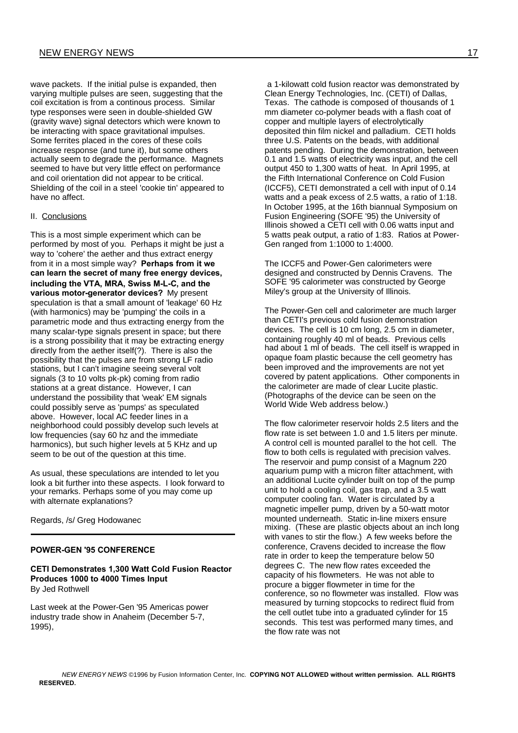wave packets. If the initial pulse is expanded, then varying multiple pulses are seen, suggesting that the coil excitation is from a continous process. Similar type responses were seen in double-shielded GW (gravity wave) signal detectors which were known to be interacting with space gravitational impulses. Some ferrites placed in the cores of these coils increase response (and tune it), but some others actually seem to degrade the performance. Magnets seemed to have but very little effect on performance and coil orientation did not appear to be critical. Shielding of the coil in a steel 'cookie tin' appeared to have no affect.

#### II. Conclusions

This is a most simple experiment which can be performed by most of you. Perhaps it might be just a way to 'cohere' the aether and thus extract energy from it in a most simple way? **Perhaps from it we can learn the secret of many free energy devices, including the VTA, MRA, Swiss M-L-C, and the various motor-generator devices?** My present speculation is that a small amount of 'leakage' 60 Hz (with harmonics) may be 'pumping' the coils in a parametric mode and thus extracting energy from the many scalar-type signals present in space; but there is a strong possibility that it may be extracting energy directly from the aether itself(?). There is also the possibility that the pulses are from strong LF radio stations, but I can't imagine seeing several volt signals (3 to 10 volts pk-pk) coming from radio stations at a great distance. However, I can understand the possibility that 'weak' EM signals could possibly serve as 'pumps' as speculated above. However, local AC feeder lines in a neighborhood could possibly develop such levels at low frequencies (say 60 hz and the immediate harmonics), but such higher levels at 5 KHz and up seem to be out of the question at this time.

As usual, these speculations are intended to let you look a bit further into these aspects. I look forward to your remarks. Perhaps some of you may come up with alternate explanations?

Regards, /s/ Greg Hodowanec

#### **POWER-GEN '95 CONFERENCE**

#### **CETI Demonstrates 1,300 Watt Cold Fusion Reactor Produces 1000 to 4000 Times Input** By Jed Rothwell

Last week at the Power-Gen '95 Americas power industry trade show in Anaheim (December 5-7, 1995),

a 1-kilowatt cold fusion reactor was demonstrated by Clean Energy Technologies, Inc. (CETI) of Dallas, Texas. The cathode is composed of thousands of 1 mm diameter co-polymer beads with a flash coat of copper and multiple layers of electrolytically deposited thin film nickel and palladium. CETI holds three U.S. Patents on the beads, with additional patents pending. During the demonstration, between 0.1 and 1.5 watts of electricity was input, and the cell output 450 to 1,300 watts of heat. In April 1995, at the Fifth International Conference on Cold Fusion (ICCF5), CETI demonstrated a cell with input of 0.14 watts and a peak excess of 2.5 watts, a ratio of 1:18. In October 1995, at the 16th biannual Symposium on Fusion Engineering (SOFE '95) the University of Illinois showed a CETI cell with 0.06 watts input and 5 watts peak output, a ratio of 1:83. Ratios at Power-Gen ranged from 1:1000 to 1:4000.

The ICCF5 and Power-Gen calorimeters were designed and constructed by Dennis Cravens. The SOFE '95 calorimeter was constructed by George Miley's group at the University of Illinois.

The Power-Gen cell and calorimeter are much larger than CETI's previous cold fusion demonstration devices. The cell is 10 cm long, 2.5 cm in diameter, containing roughly 40 ml of beads. Previous cells had about 1 ml of beads. The cell itself is wrapped in opaque foam plastic because the cell geometry has been improved and the improvements are not yet covered by patent applications. Other components in the calorimeter are made of clear Lucite plastic. (Photographs of the device can be seen on the World Wide Web address below.)

The flow calorimeter reservoir holds 2.5 liters and the flow rate is set between 1.0 and 1.5 liters per minute. A control cell is mounted parallel to the hot cell. The flow to both cells is regulated with precision valves. The reservoir and pump consist of a Magnum 220 aquarium pump with a micron filter attachment, with an additional Lucite cylinder built on top of the pump unit to hold a cooling coil, gas trap, and a 3.5 watt computer cooling fan. Water is circulated by a magnetic impeller pump, driven by a 50-watt motor mounted underneath. Static in-line mixers ensure mixing. (These are plastic objects about an inch long with vanes to stir the flow.) A few weeks before the conference, Cravens decided to increase the flow rate in order to keep the temperature below 50 degrees C. The new flow rates exceeded the capacity of his flowmeters. He was not able to procure a bigger flowmeter in time for the conference, so no flowmeter was installed. Flow was measured by turning stopcocks to redirect fluid from the cell outlet tube into a graduated cylinder for 15 seconds. This test was performed many times, and the flow rate was not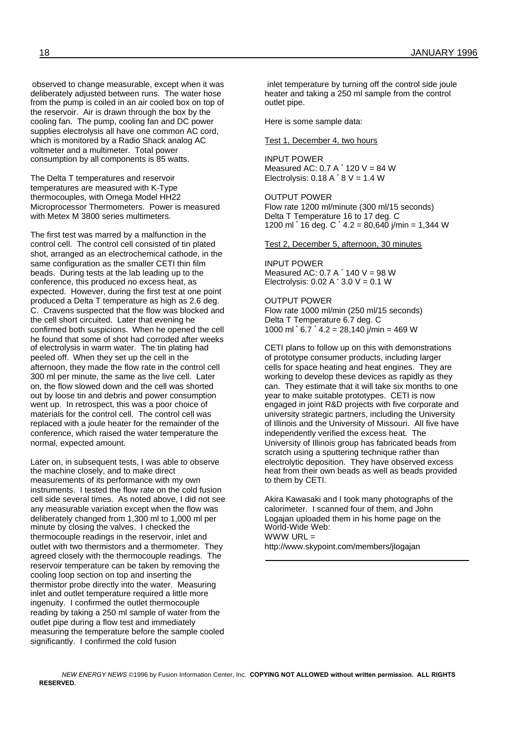observed to change measurable, except when it was deliberately adjusted between runs. The water hose from the pump is coiled in an air cooled box on top of the reservoir. Air is drawn through the box by the cooling fan. The pump, cooling fan and DC power supplies electrolysis all have one common AC cord, which is monitored by a Radio Shack analog AC voltmeter and a multimeter. Total power consumption by all components is 85 watts.

The Delta T temperatures and reservoir temperatures are measured with K-Type thermocouples, with Omega Model HH22 Microprocessor Thermometers. Power is measured with Metex M 3800 series multimeters.

The first test was marred by a malfunction in the control cell. The control cell consisted of tin plated shot, arranged as an electrochemical cathode, in the same configuration as the smaller CETI thin film beads. During tests at the lab leading up to the conference, this produced no excess heat, as expected. However, during the first test at one point produced a Delta T temperature as high as 2.6 deg. C. Cravens suspected that the flow was blocked and the cell short circuited. Later that evening he confirmed both suspicions. When he opened the cell he found that some of shot had corroded after weeks of electrolysis in warm water. The tin plating had peeled off. When they set up the cell in the afternoon, they made the flow rate in the control cell 300 ml per minute, the same as the live cell. Later on, the flow slowed down and the cell was shorted out by loose tin and debris and power consumption went up. In retrospect, this was a poor choice of materials for the control cell. The control cell was replaced with a joule heater for the remainder of the conference, which raised the water temperature the normal, expected amount.

Later on, in subsequent tests, I was able to observe the machine closely, and to make direct measurements of its performance with my own instruments. I tested the flow rate on the cold fusion cell side several times. As noted above, I did not see any measurable variation except when the flow was deliberately changed from 1,300 ml to 1,000 ml per minute by closing the valves. I checked the thermocouple readings in the reservoir, inlet and outlet with two thermistors and a thermometer. They agreed closely with the thermocouple readings. The reservoir temperature can be taken by removing the cooling loop section on top and inserting the thermistor probe directly into the water. Measuring inlet and outlet temperature required a little more ingenuity. I confirmed the outlet thermocouple reading by taking a 250 ml sample of water from the outlet pipe during a flow test and immediately measuring the temperature before the sample cooled significantly. I confirmed the cold fusion

18 JANUARY 1996

inlet temperature by turning off the control side joule heater and taking a 250 ml sample from the control outlet pipe.

Here is some sample data:

#### Test 1, December 4, two hours

INPUT POWER Measured AC: 0.7 A  $\degree$  120 V = 84 W Electrolysis:  $0.18 A^* 8 V = 1.4 W$ 

OUTPUT POWER Flow rate 1200 ml/minute (300 ml/15 seconds) Delta T Temperature 16 to 17 deg. C 1200 ml \* 16 deg. C \* 4.2 = 80,640 j/min = 1,344 W

#### Test 2, December 5, afternoon, 30 minutes

INPUT POWER Measured AC: 0.7 A \* 140 V = 98 W Electrolysis: 0.02 A \* 3.0 V = 0.1 W

OUTPUT POWER Flow rate 1000 ml/min (250 ml/15 seconds) Delta T Temperature 6.7 deg. C 1000 ml  $\degree$  6.7  $\degree$  4.2 = 28,140 j/min = 469 W

CETI plans to follow up on this with demonstrations of prototype consumer products, including larger cells for space heating and heat engines. They are working to develop these devices as rapidly as they can. They estimate that it will take six months to one year to make suitable prototypes. CETI is now engaged in joint R&D projects with five corporate and university strategic partners, including the University of Illinois and the University of Missouri. All five have independently verified the excess heat. The University of Illinois group has fabricated beads from scratch using a sputtering technique rather than electrolytic deposition. They have observed excess heat from their own beads as well as beads provided to them by CETI.

Akira Kawasaki and I took many photographs of the calorimeter. I scanned four of them, and John Logajan uploaded them in his home page on the World-Wide Web: WWW URL = http://www.skypoint.com/members/jlogajan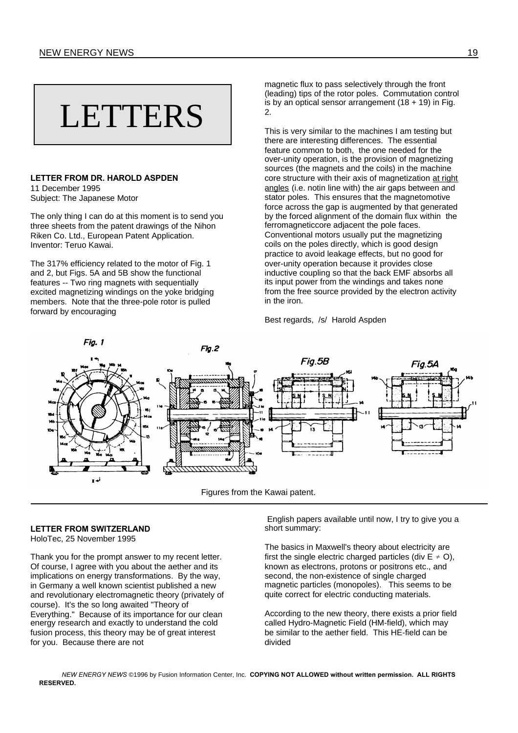

#### **LETTER FROM DR. HAROLD ASPDEN**

11 December 1995 Subject: The Japanese Motor

The only thing I can do at this moment is to send you three sheets from the patent drawings of the Nihon Riken Co. Ltd., European Patent Application. Inventor: Teruo Kawai.

The 317% efficiency related to the motor of Fig. 1 and 2, but Figs. 5A and 5B show the functional features -- Two ring magnets with sequentially excited magnetizing windings on the yoke bridging members. Note that the three-pole rotor is pulled forward by encouraging

magnetic flux to pass selectively through the front (leading) tips of the rotor poles. Commutation control is by an optical sensor arrangement  $(18 + 19)$  in Fig. 2.

This is very similar to the machines I am testing but there are interesting differences. The essential feature common to both, the one needed for the over-unity operation, is the provision of magnetizing sources (the magnets and the coils) in the machine core structure with their axis of magnetization at right angles (i.e. notin line with) the air gaps between and stator poles. This ensures that the magnetomotive force across the gap is augmented by that generated by the forced alignment of the domain flux within the ferromagneticcore adjacent the pole faces. Conventional motors usually put the magnetizing coils on the poles directly, which is good design practice to avoid leakage effects, but no good for over-unity operation because it provides close inductive coupling so that the back EMF absorbs all its input power from the windings and takes none from the free source provided by the electron activity in the iron.

Best regards, /s/ Harold Aspden



Figures from the Kawai patent.

#### **LETTER FROM SWITZERLAND**

HoloTec, 25 November 1995

Thank you for the prompt answer to my recent letter. Of course, I agree with you about the aether and its implications on energy transformations. By the way, in Germany a well known scientist published a new and revolutionary electromagnetic theory (privately of course). It's the so long awaited "Theory of Everything." Because of its importance for our clean energy research and exactly to understand the cold fusion process, this theory may be of great interest for you. Because there are not

English papers available until now, I try to give you a short summary:

The basics in Maxwell's theory about electricity are first the single electric charged particles (div  $E \neq O$ ), known as electrons, protons or positrons etc., and second, the non-existence of single charged magnetic particles (monopoles). This seems to be quite correct for electric conducting materials.

According to the new theory, there exists a prior field called Hydro-Magnetic Field (HM-field), which may be similar to the aether field. This HE-field can be divided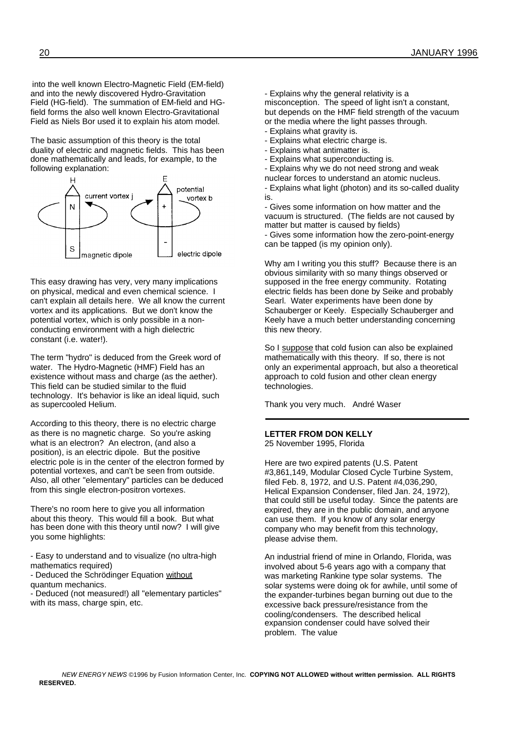into the well known Electro-Magnetic Field (EM-field) and into the newly discovered Hydro-Gravitation Field (HG-field). The summation of EM-field and HGfield forms the also well known Electro-Gravitational Field as Niels Bor used it to explain his atom model.

The basic assumption of this theory is the total duality of electric and magnetic fields. This has been done mathematically and leads, for example, to the following explanation:



This easy drawing has very, very many implications on physical, medical and even chemical science. I can't explain all details here. We all know the current vortex and its applications. But we don't know the potential vortex, which is only possible in a nonconducting environment with a high dielectric constant (i.e. water!).

The term "hydro" is deduced from the Greek word of water. The Hydro-Magnetic (HMF) Field has an existence without mass and charge (as the aether). This field can be studied similar to the fluid technology. It's behavior is like an ideal liquid, such as supercooled Helium.

According to this theory, there is no electric charge as there is no magnetic charge. So you're asking what is an electron? An electron, (and also a position), is an electric dipole. But the positive electric pole is in the center of the electron formed by potential vortexes, and can't be seen from outside. Also, all other "elementary" particles can be deduced from this single electron-positron vortexes.

There's no room here to give you all information about this theory. This would fill a book. But what has been done with this theory until now? I will give you some highlights:

- Easy to understand and to visualize (no ultra-high mathematics required)

- Deduced the Schrödinger Equation without quantum mechanics.

- Deduced (not measured!) all "elementary particles" with its mass, charge spin, etc.

- Explains why the general relativity is a misconception. The speed of light isn't a constant. but depends on the HMF field strength of the vacuum or the media where the light passes through.

- Explains what gravity is.
- Explains what electric charge is.
- Explains what antimatter is.
- Explains what superconducting is.
- Explains why we do not need strong and weak
- nuclear forces to understand an atomic nucleus.
- Explains what light (photon) and its so-called duality is.

- Gives some information on how matter and the vacuum is structured. (The fields are not caused by matter but matter is caused by fields)

- Gives some information how the zero-point-energy can be tapped (is my opinion only).

Why am I writing you this stuff? Because there is an obvious similarity with so many things observed or supposed in the free energy community. Rotating electric fields has been done by Seike and probably Searl. Water experiments have been done by Schauberger or Keely. Especially Schauberger and Keely have a much better understanding concerning this new theory.

So I suppose that cold fusion can also be explained mathematically with this theory. If so, there is not only an experimental approach, but also a theoretical approach to cold fusion and other clean energy technologies.

Thank you very much. André Waser

## **LETTER FROM DON KELLY**

25 November 1995, Florida

Here are two expired patents (U.S. Patent #3,861,149, Modular Closed Cycle Turbine System, filed Feb. 8, 1972, and U.S. Patent #4,036,290, Helical Expansion Condenser, filed Jan. 24, 1972), that could still be useful today. Since the patents are expired, they are in the public domain, and anyone can use them. If you know of any solar energy company who may benefit from this technology, please advise them.

An industrial friend of mine in Orlando, Florida, was involved about 5-6 years ago with a company that was marketing Rankine type solar systems. The solar systems were doing ok for awhile, until some of the expander-turbines began burning out due to the excessive back pressure/resistance from the cooling/condensers. The described helical expansion condenser could have solved their problem. The value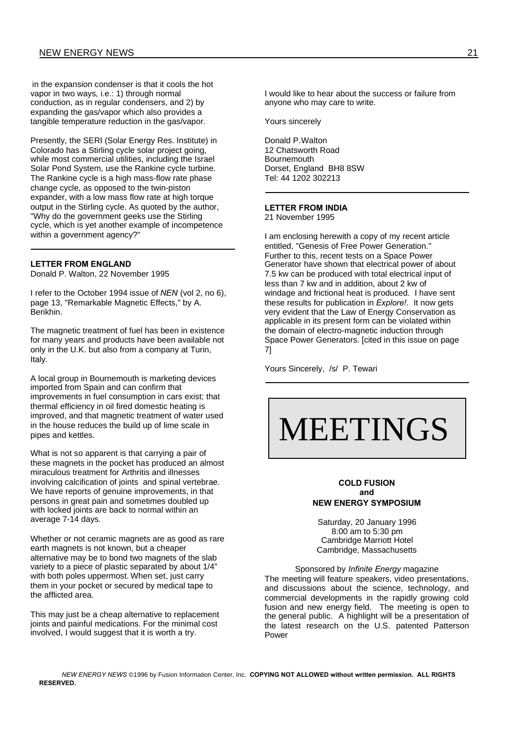in the expansion condenser is that it cools the hot vapor in two ways, i.e.: 1) through normal conduction, as in regular condensers, and 2) by expanding the gas/vapor which also provides a tangible temperature reduction in the gas/vapor.

Presently, the SERI (Solar Energy Res. Institute) in Colorado has a Stirling cycle solar project going, while most commercial utilities, including the Israel Solar Pond System, use the Rankine cycle turbine. The Rankine cycle is a high mass-flow rate phase change cycle, as opposed to the twin-piston expander, with a low mass flow rate at high torque output in the Stirling cycle. As quoted by the author, "Why do the government geeks use the Stirling cycle, which is yet another example of incompetence within a government agency?"

#### **LETTER FROM ENGLAND**

Donald P. Walton, 22 November 1995

I refer to the October 1994 issue of *NEN* (vol 2, no 6), page 13, "Remarkable Magnetic Effects," by A. Berikhin.

The magnetic treatment of fuel has been in existence for many years and products have been available not only in the U.K. but also from a company at Turin, Italy.

A local group in Bournemouth is marketing devices imported from Spain and can confirm that improvements in fuel consumption in cars exist; that thermal efficiency in oil fired domestic heating is improved, and that magnetic treatment of water used in the house reduces the build up of lime scale in pipes and kettles.

What is not so apparent is that carrying a pair of these magnets in the pocket has produced an almost miraculous treatment for Arthritis and illnesses involving calcification of joints and spinal vertebrae. We have reports of genuine improvements, in that persons in great pain and sometimes doubled up with locked joints are back to normal within an average 7-14 days.

Whether or not ceramic magnets are as good as rare earth magnets is not known, but a cheaper alternative may be to bond two magnets of the slab variety to a piece of plastic separated by about 1/4" with both poles uppermost. When set, just carry them in your pocket or secured by medical tape to the afflicted area.

This may just be a cheap alternative to replacement joints and painful medications. For the minimal cost involved, I would suggest that it is worth a try.

I would like to hear about the success or failure from anyone who may care to write.

Yours sincerely

Donald P.Walton 12 Chatsworth Road **Bournemouth** Dorset, England BH8 8SW Tel: 44 1202 302213

#### **LETTER FROM INDIA**

21 November 1995

I am enclosing herewith a copy of my recent article entitled, "Genesis of Free Power Generation." Further to this, recent tests on a Space Power Generator have shown that electrical power of about 7.5 kw can be produced with total electrical input of less than 7 kw and in addition, about 2 kw of windage and frictional heat is produced. I have sent these results for publication in *Explore!*. It now gets very evident that the Law of Energy Conservation as applicable in its present form can be violated within the domain of electro-magnetic induction through Space Power Generators. [cited in this issue on page 7]

Yours Sincerely, /s/ P. Tewari

# MEETINGS

#### **COLD FUSION and NEW ENERGY SYMPOSIUM**

Saturday, 20 January 1996 8:00 am to 5:30 pm Cambridge Marriott Hotel Cambridge, Massachusetts

Sponsored by *Infinite Energy* magazine The meeting will feature speakers, video presentations, and discussions about the science, technology, and commercial developments in the rapidly growing cold fusion and new energy field. The meeting is open to the general public. A highlight will be a presentation of the latest research on the U.S. patented Patterson Power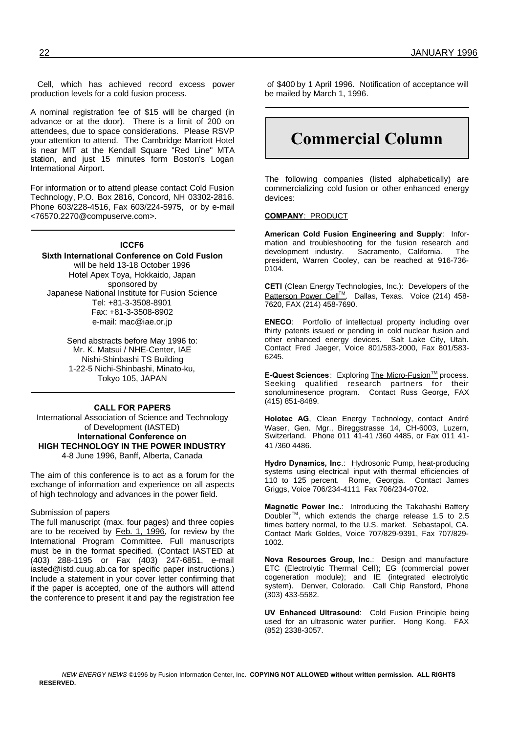Cell, which has achieved record excess power production levels for a cold fusion process.

A nominal registration fee of \$15 will be charged (in advance or at the door). There is a limit of 200 on attendees, due to space considerations. Please RSVP your attention to attend. The Cambridge Marriott Hotel is near MIT at the Kendall Square "Red Line" MTA station, and just 15 minutes form Boston's Logan International Airport.

For information or to attend please contact Cold Fusion Technology, P.O. Box 2816, Concord, NH 03302-2816. Phone 603/228-4516, Fax 603/224-5975, or by e-mail <76570.2270@compuserve.com>.

#### **ICCF6**

**Sixth International Conference on Cold Fusion** will be held 13-18 October 1996 Hotel Apex Toya, Hokkaido, Japan sponsored by Japanese National Institute for Fusion Science Tel: +81-3-3508-8901 Fax: +81-3-3508-8902 e-mail: mac@iae.or.jp

> Send abstracts before May 1996 to: Mr. K. Matsui / NHE-Center, IAE Nishi-Shinbashi TS Building 1-22-5 Nichi-Shinbashi, Minato-ku, Tokyo 105, JAPAN

#### **CALL FOR PAPERS** International Association of Science and Technology of Development (IASTED) **International Conference on HIGH TECHNOLOGY IN THE POWER INDUSTRY**

4-8 June 1996, Banff, Alberta, Canada

The aim of this conference is to act as a forum for the exchange of information and experience on all aspects of high technology and advances in the power field.

#### Submission of papers

The full manuscript (max. four pages) and three copies are to be received by Feb. 1, 1996, for review by the International Program Committee. Full manuscripts must be in the format specified. (Contact IASTED at (403) 288-1195 or Fax (403) 247-6851, e-mail iasted@istd.cuug.ab.ca for specific paper instructions.) Include a statement in your cover letter confirming that if the paper is accepted, one of the authors will attend the conference to present it and pay the registration fee

of \$400 by 1 April 1996. Notification of acceptance will be mailed by March 1, 1996.

# **Commercial Column**

The following companies (listed alphabetically) are commercializing cold fusion or other enhanced energy devices:

#### **COMPANY**: PRODUCT

**American Cold Fusion Engineering and Supply**: Information and troubleshooting for the fusion research and development industry. Sacramento, California. The Sacramento, California. The president, Warren Cooley, can be reached at 916-736- 0104.

**CETI** (Clean Energy Technologies, Inc.): Developers of the Patterson Power Cell™. Dallas, Texas. Voice (214) 458-7620, FAX (214) 458-7690.

**ENECO**: Portfolio of intellectual property including over thirty patents issued or pending in cold nuclear fusion and other enhanced energy devices. Salt Lake City, Utah. Contact Fred Jaeger, Voice 801/583-2000, Fax 801/583- 6245.

**E-Quest Sciences:** Exploring The Micro-Fusion<sup>™</sup> process. Seeking qualified research partners for their sonoluminesence program. Contact Russ George, FAX (415) 851-8489.

**Holotec AG**, Clean Energy Technology, contact André Waser, Gen. Mgr., Bireggstrasse 14, CH-6003, Luzern, Switzerland. Phone 011 41-41 /360 4485, or Fax 011 41- 41 /360 4486.

**Hydro Dynamics, Inc**.: Hydrosonic Pump, heat-producing systems using electrical input with thermal efficiencies of 110 to 125 percent. Rome, Georgia. Contact James Griggs, Voice 706/234-4111 Fax 706/234-0702.

**Magnetic Power Inc.**: Introducing the Takahashi Battery Doubler<sup>™</sup>, which extends the charge release 1.5 to 2.5 times battery normal, to the U.S. market. Sebastapol, CA. Contact Mark Goldes, Voice 707/829-9391, Fax 707/829- 1002.

**Nova Resources Group, Inc**.: Design and manufacture ETC (Electrolytic Thermal Cell); EG (commercial power cogeneration module); and IE (integrated electrolytic system). Denver, Colorado. Call Chip Ransford, Phone (303) 433-5582.

**UV Enhanced Ultrasound**: Cold Fusion Principle being used for an ultrasonic water purifier. Hong Kong. FAX (852) 2338-3057.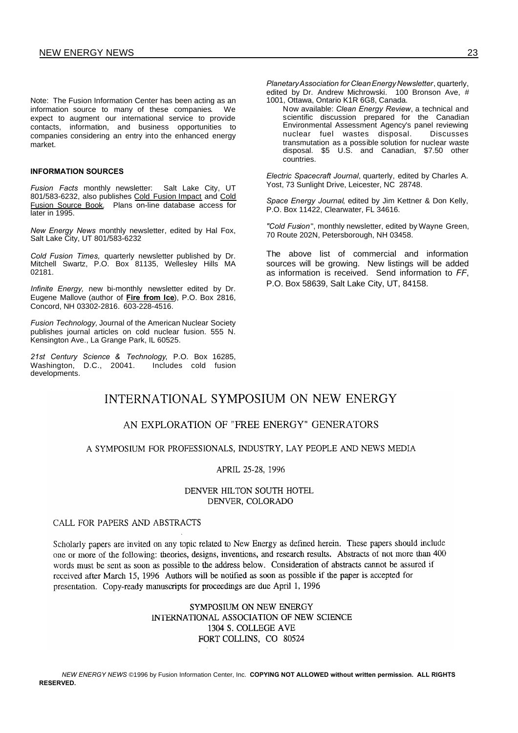Note: The Fusion Information Center has been acting as an information source to many of these companies. We expect to augment our international service to provide contacts, information, and business opportunities to companies considering an entry into the enhanced energy market.

#### **INFORMATION SOURCES**

*Fusion Facts* monthly newsletter: Salt Lake City, UT 801/583-6232, also publishes Cold Fusion Impact and Cold Fusion Source Book. Plans on-line database access for later in 1995.

*New Energy News* monthly newsletter, edited by Hal Fox, Salt Lake City, UT 801/583-6232

*Cold Fusion Times,* quarterly newsletter published by Dr. Mitchell Swartz, P.O. Box 81135, Wellesley Hills MA 02181.

*Infinite Energy,* new bi-monthly newsletter edited by Dr. Eugene Mallove (author of **Fire from Ice**), P.O. Box 2816, Concord, NH 03302-2816. 603-228-4516.

*Fusion Technology,* Journal of the American Nuclear Society publishes journal articles on cold nuclear fusion. 555 N. Kensington Ave., La Grange Park, IL 60525.

*21st Century Science & Technology*, P.O. Box 16285, Washington, D.C., 20041. Includes cold fusion developments.

*PlanetaryAssociation for CleanEnergyNewsletter*, quarterly, edited by Dr. Andrew Michrowski. 100 Bronson Ave, # 1001, Ottawa, Ontario K1R 6G8, Canada.

Now available: *Clean Energy Review*, a technical and scientific discussion prepared for the Canadian Environmental Assessment Agency's panel reviewing nuclear fuel wastes disposal. Discusses transmutation as a possible solution for nuclear waste disposal. \$5 U.S. and Canadian, \$7.50 other countries.

*Electric Spacecraft Journal*, quarterly, edited by Charles A. Yost, 73 Sunlight Drive, Leicester, NC 28748.

*Space Energy Journal*, edited by Jim Kettner & Don Kelly, P.O. Box 11422, Clearwater, FL 34616.

*"Cold Fusion*", monthly newsletter, edited by Wayne Green, 70 Route 202N, Petersborough, NH 03458.

The above list of commercial and information sources will be growing. New listings will be added as information is received. Send information to *FF*, P.O. Box 58639, Salt Lake City, UT, 84158.

## INTERNATIONAL SYMPOSIUM ON NEW ENERGY

#### AN EXPLORATION OF "FREE ENERGY" GENERATORS

#### A SYMPOSIUM FOR PROFESSIONALS, INDUSTRY, LAY PEOPLE AND NEWS MEDIA

#### APRIL 25-28, 1996

#### DENVER HILTON SOUTH HOTEL DENVER, COLORADO

#### CALL FOR PAPERS AND ABSTRACTS

Scholarly papers are invited on any topic related to New Energy as defined herein. These papers should include one or more of the following: theories, designs, inventions, and research results. Abstracts of not more than 400 words must be sent as soon as possible to the address below. Consideration of abstracts cannot be assured if received after March 15, 1996 Authors will be notified as soon as possible if the paper is accepted for presentation. Copy-ready manuscripts for proceedings are due April 1, 1996

#### SYMPOSIUM ON NEW ENERGY INTERNATIONAL ASSOCIATION OF NEW SCIENCE 1304 S. COLLEGE AVE FORT COLLINS, CO 80524